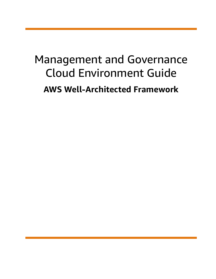# Management and Governance Cloud Environment Guide **AWS Well-Architected Framework**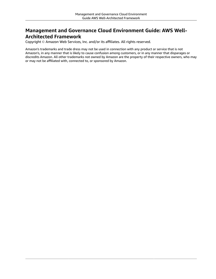#### **Management and Governance Cloud Environment Guide: AWS Well-Architected Framework**

Copyright © Amazon Web Services, Inc. and/or its affiliates. All rights reserved.

Amazon's trademarks and trade dress may not be used in connection with any product or service that is not Amazon's, in any manner that is likely to cause confusion among customers, or in any manner that disparages or discredits Amazon. All other trademarks not owned by Amazon are the property of their respective owners, who may or may not be affiliated with, connected to, or sponsored by Amazon.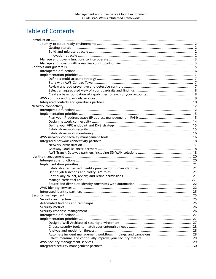# **Table of Contents**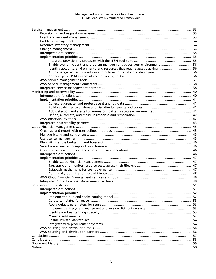| Enable event, incident, and problem management across your environment  36     |  |
|--------------------------------------------------------------------------------|--|
| Identify accounts, environments, and resources that require asset tracking  36 |  |
| Align change request procedures and policies for rapid cloud deployment  36    |  |
|                                                                                |  |
|                                                                                |  |
|                                                                                |  |
|                                                                                |  |
|                                                                                |  |
|                                                                                |  |
|                                                                                |  |
|                                                                                |  |
|                                                                                |  |
| Add detection and alerts for anomalous patterns across environments  41        |  |
|                                                                                |  |
|                                                                                |  |
|                                                                                |  |
|                                                                                |  |
|                                                                                |  |
|                                                                                |  |
|                                                                                |  |
|                                                                                |  |
|                                                                                |  |
|                                                                                |  |
|                                                                                |  |
|                                                                                |  |
|                                                                                |  |
|                                                                                |  |
|                                                                                |  |
|                                                                                |  |
|                                                                                |  |
|                                                                                |  |
|                                                                                |  |
|                                                                                |  |
|                                                                                |  |
|                                                                                |  |
|                                                                                |  |
|                                                                                |  |
|                                                                                |  |
|                                                                                |  |
|                                                                                |  |
|                                                                                |  |
|                                                                                |  |
|                                                                                |  |
|                                                                                |  |
|                                                                                |  |
|                                                                                |  |
|                                                                                |  |
|                                                                                |  |
|                                                                                |  |
|                                                                                |  |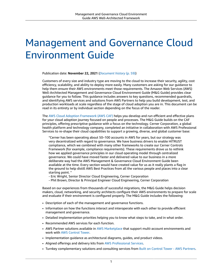# <span id="page-5-0"></span>Management and Governance Cloud Environment Guide

Publication date: **November 22, 2021** (*[Document](#page-63-0) history* [\(p. 59\)](#page-63-0))

Customers of every size and industry type are moving to the cloud to increase their security, agility, cost efficiency, scalability, and ability to deploy more easily. Many customers are asking for our guidance to help them ensure their AWS environments meet those requirements. The Amazon Web Services (AWS) Well-Architected Management and Governance Cloud Environment Guide (M&G Guide) provides clear guidance for you to follow. This guidance includes answers to key questions, recommended guardrails, and identifying AWS services and solutions from AWS Partners to help you build development, test, and production workloads at scale regardless of the stage of cloud adoption you are in. This document can be read in its entirety or by individual section depending on the focus of the reader.

The AWS Cloud Adoption [Framework](http://aws.amazon.com/professional-services/CAF/) (AWS CAF) helps you develop and run efficient and effective plans for your cloud adoption journey focused on people and processes. The M&G Guide builds on the CAF principles, offering prescriptive guidance with a focus on the technology. Cerner Corporation, a global health platform and technology company, completed an initiative in collaboration with AWS Professional Services to re-shape their cloud capabilities to support a growing, diverse, and global customer base:

"Cerner has been operating about 50–100 accounts in AWS for years, but our strategy was very decentralized with regard to governance. We have business drivers to enable HITRUST compliance, which we combined with many other frameworks to create our Cerner Controls Framework (for example, compliance requirements). These requirements drove us to rethink how we applied governance principles in our cloud operating model through centralized governance. We could have moved faster and delivered value to our business in a more deliberate way had the AWS Management & Governance Cloud Environment Guide been available at the time. Every section would have created value for us as it really plants a flag in the ground to help distill AWS Best Practices from all the various people and places into a clear starting point. "

- Eric Wright, Senior Director Cloud Engineering, Cerner Corporation
- Phil Brown, Director & Principal Engineer Cloud Engineering, Cerner Corporation

Based on our experiences from thousands of successful migrations, the M&G Guide helps decision makers, cloud, networking, and security architects configure their AWS environments to prepare for scale and evaluate if their environment is configured properly. The M&G Guide includes the following:

- Description of each of the management and governance functions.
- Information on how the functions interact and interoperate with each other to provide efficient management and governance.
- Detailed implementation priorities helping you to know what steps to take, and in what order.
- Recommended AWS services for each function.
- AWS Partner solutions available in AWS [Marketplace](http://aws.amazon.com/marketplace) that support multi-account environments and work with AWS [Control](http://aws.amazon.com/controltower) Tower.
- Implementation guidance as architectural diagrams, guides, and product videos.
- Aligned offerings and delivery kits from AWS [Professional](http://aws.amazon.com/professional-services/) Services.
- Turnkey complementary solutions and consulting services from Built on Control Tower AWS [Partners.](http://aws.amazon.com/controltower/partners/)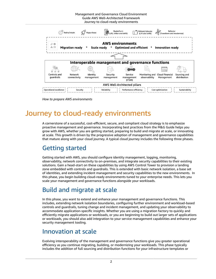Management and Governance Cloud Environment Guide AWS Well-Architected Framework Journey to cloud-ready environments

|                                                                                                                                            | $\widehat{\mathcal{O}}_{J}^{\text{Q2}}$ Retire/retain | $\ll$ Repurchase       | 面<br>画 Replatform<br>  画 (Lift, tinker and shift) |                                      | Rehost/relocate<br>(Lift and shift) | Refactor<br>(Transform and modernize) |                              |
|--------------------------------------------------------------------------------------------------------------------------------------------|-------------------------------------------------------|------------------------|---------------------------------------------------|--------------------------------------|-------------------------------------|---------------------------------------|------------------------------|
| <b>AWS environments</b><br>₿<br>₽<br>ಹೆ⊾ ⊠<br><b>Migration ready</b><br>Scale ready * Optimized and efficient *<br><b>Innovation ready</b> |                                                       |                        |                                                   |                                      |                                     |                                       |                              |
|                                                                                                                                            |                                                       |                        |                                                   |                                      |                                     |                                       |                              |
|                                                                                                                                            |                                                       |                        | Interoperable management and governance functions |                                      |                                     |                                       |                              |
|                                                                                                                                            |                                                       |                        |                                                   |                                      | ∈                                   | tari<br>Titul                         |                              |
| Controls and<br>guardrails                                                                                                                 | <b>Network</b><br>connectivity                        | Identity<br>management | Security<br>management                            | Service<br>management<br>(ITSM)      | Monitoring and<br>observability     | Cloud Financial<br>Management         | Sourcing and<br>distribution |
| AWS Well-Architected pillars                                                                                                               |                                                       |                        |                                                   |                                      |                                     |                                       |                              |
| Operational excellence !                                                                                                                   | Security                                              |                        | Reliability                                       | $\frac{1}{1}$ Performance efficiency |                                     | Cost optimization                     | Sustainability               |

*How to prepare AWS environments*

# <span id="page-6-0"></span>Journey to cloud-ready environments

A cornerstone of a successful, cost-efficient, secure, and compliant cloud strategy is to emphasize proactive management and governance. Incorporating best practices from the M&G Guide helps you grow with AWS, whether you are getting started, preparing to build and migrate at scale, or innovating at scale. This growth is driven by the progressive adoption of management and governance capabilities that mature along with your cloud journey. A typical cloud journey includes the following three phases.

#### <span id="page-6-1"></span>Getting started

Getting started with AWS, you should configure identity management, logging, monitoring, observability, network connectivity to on-premises, and integrate security capabilities to their existing solutions. Gain a head-start on these capabilities by using AWS Control Tower to provision a landing zone embedded with controls and guardrails. This is extended with basic network isolation, a base set of identities, and extending incident management and security capabilities to the new environments. In this phase, you begin building cloud-ready environments tuned to your enterprise needs. This lets you scale your management and governance functions alongside your workloads.

#### <span id="page-6-2"></span>Build and migrate at scale

In this phase, you want to extend and enhance your management and governance functions. This includes, extending network isolation boundaries, configuring further environment and workload-based controls and guardrails, tuning change and incident management, and updating your observability to accommodate application-specific insights. Whether you are using a migration factory to quickly and efficiently migrate applications or workloads, or you are beginning to build out larger sets of applications or workloads, you should also add integration to your service management capabilities and enhance your security management tooling.

#### <span id="page-6-3"></span>Innovation at scale

Evolving interoperability of the management and governance functions give you greater operational efficiency as you continue migrating, building, or modernizing your workloads. This phase typically includes the addition of full sourcing and distribution functions for your infrastructure templates or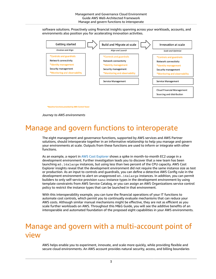software solutions. Proactively using financial insights spanning across your workloads, accounts, and environments also position you for accelerating innovation activities.



\*Baseline functions provided by AWS Control Tower

*Journey to AWS environments*

# <span id="page-7-0"></span>Manage and govern functions to interoperate

The eight management and governance functions, supported by AWS services and AWS Partner solutions, should interoperate together in an informative relationship to help you manage and govern your environments at scale. Outputs from these functions are used to inform or integrate with other functions.

As an example, a report in AWS Cost [Explorer](http://aws.amazon.com/aws-cost-management/aws-cost-explorer/) shows a spike in month-to-month EC2 usage in a development environment. Further investigation leads you to discover that a new team has been launching m5.16xlarge instances, but using less than two percent of the CPU capacity. AWS Cost Explorer insights reveal that the development environment did not require the same instance size as test or production. As an input to controls and guardrails, you can define a detective AWS Config rule in the development environment to alert on unapproved m5.16xlarge instances. In addition, you can permit builders to only self-service provision nano instance types in the development environment by using template constraints from AWS Service Catalog, or you can assign an AWS Organizations service control policy to restrict the instance types that can be launched in that environment.

With this interoperability example, you can tune the financial operations of your IT functions to automate cost controls, which permit you to continually evaluate mechanisms that can reduce your AWS costs. Although similar manual mechanisms might be effective, they are not as efficient as you scale further workloads on AWS. Throughout this M&G Guide, you will see the additive benefits of an interoperable and automated foundation of the proposed eight capabilities in your AWS environments.

# <span id="page-7-1"></span>Manage and govern with a multi-account point of view

AWS helps enable you to experiment, innovate, and scale more quickly, while providing flexible and secure cloud environments. An AWS account provides natural security, access, and billing boundaries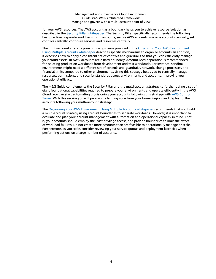for your AWS resources. The AWS account as a boundary helps you to achieve resource isolation as described in the Security Pillar [whitepaper](https://docs.aws.amazon.com/wellarchitected/latest/security-pillar/welcome.html). The Security Pillar specifically recommends the following best practices: separate workloads using accounts, secure AWS accounts, manage accounts centrally, set controls centrally, configure services and resources centrally.

The multi-account strategy prescriptive guidance provided in the Organizing Your AWS [Environment](https://docs.aws.amazon.com/whitepapers/latest/organizing-your-aws-environment/organizing-your-aws-environment.html) Using Multiple Accounts [whitepaper](https://docs.aws.amazon.com/whitepapers/latest/organizing-your-aws-environment/organizing-your-aws-environment.html) describes specific mechanisms to organize accounts. In addition, it describes how to apply a consistent set of controls and guardrails so that you can efficiently manage your cloud assets. In AWS, accounts are a hard boundary. Account-level separation is recommended for isolating production workloads from development and test workloads. For instance, sandbox environments might need a different set of controls and guardrails, network, change processes, and financial limits compared to other environments. Using this strategy helps you to centrally manage resources, permissions, and security standards across environments and accounts, improving your operational efficacy.

The M&G Guide complements the Security Pillar and the multi-account strategy to further define a set of eight foundational capabilities required to prepare your environments and operate efficiently in the AWS Cloud. You can start automating provisioning your accounts following this strategy with AWS [Control](http://aws.amazon.com/controltower) [Tower](http://aws.amazon.com/controltower). With this service you will provision a landing zone from your home Region, and deploy further accounts following your multi-account strategy.

The Organizing Your AWS [Environment](https://docs.aws.amazon.com/whitepapers/latest/organizing-your-aws-environment/organizing-your-aws-environment.html) Using Multiple Accounts whitepaper recommends that you build a multi-account strategy using account boundaries to separate workloads. However, it is important to evaluate and plan your account management with automation and operational capacity in mind. That is, your accounts should employ the least privilege access, and provide boundaries to limit the effect of workload failures. Do not create more accounts than are feasible to operationally manage or scale. Furthermore, as you scale, consider reviewing your service quotas and deployment latencies when performing actions on a large number of accounts.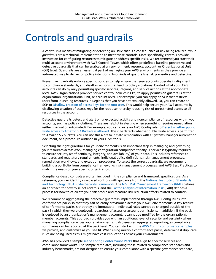# <span id="page-9-0"></span>Controls and guardrails

A *control* is a means of mitigating or detecting an issue that is a consequence of risk being realized, while *guardrails* are a technical implementation to meet those controls. More specifically, controls provide instruction for configuring resources to mitigate or address specific risks. We recommend you start their multi-account environment with AWS Control Tower, which offers predefined baseline preventive and detective guardrails that can be enabled at an environment, resource, account, or Organizational Unit (OU) level. Guardrails are an essential part of managing your AWS environments as they provide an automated way to deliver on policy intentions. Two kinds of guardrails exist: preventive and detective.

Preventive guardrails enforce specific policies to help ensure that your accounts operate in alignment to compliance standards, and disallow actions that lead to policy violations. Control what your AWS accounts can do by only permitting specific services, Regions, and service actions at the appropriate level. AWS Organizations provides service control policies (SCPs) to apply permission guardrails at the organization, organizational unit, or account level. For example, you can apply an SCP that restricts users from launching resources in Regions that you have not explicitly allowed. Or, you can create an SCP to [Disallow](https://docs.aws.amazon.com/controltower/latest/userguide/strongly-recommended-guardrails.html#disallow-root-access-keys) creation of access keys for the root user. This would help secure your AWS accounts by disallowing creation of access keys for the root user, thereby reducing risk of unrestricted access to all resources in the account.

Detective guardrails detect and alert on unexpected activity and noncompliance of resources within your accounts, such as policy violations. These are helpful in alerting when something requires remediation (either manual or automated). For example, you can create an AWS Config rule to Detect [whether](https://docs.aws.amazon.com/controltower/latest/userguide/strongly-recommended-guardrails.html#s3-disallow-public-write) public write access to [Amazon](https://docs.aws.amazon.com/controltower/latest/userguide/strongly-recommended-guardrails.html#s3-disallow-public-write) S3 Buckets is allowed. This rule detects whether public write access is permitted to Amazon S3 buckets. You can use this alert to initiate remediation with a Systems Manager automation document, or a procedure outlined in your ITSM tools.

Selecting the right guardrails for your environments is an important step in managing and governing your resources across AWS. Managing configuration compliance for any IT service is typically required to ensure security (confidentiality, integrity, and availability) of your data. This includes reference to standards and regulatory requirements, individual policy definitions, risk management processes, remediation workflows, and exception procedures. To select the correct guardrails, we recommend building a portfolio from compliance frameworks, risk management processes, and AWS Best Practices to match the needs of your specific organization.

Compliance-based controls are often included in the compliance and framework specifications. As a reference, you can identify risk-based controls with guidance from the National Institute of [Standards](https://www.nist.gov/cyberframework) and Technology (NIST) [CyberSecurity](https://www.nist.gov/cyberframework) Framework. The NIST Risk [Management](https://csrc.nist.gov/projects/risk-management/about-rmf) Framework (RMF) defines an approach for how to select controls, and the Factor Analysis of [Information](https://www.fairinstitute.org/fair-risk-management) Risk (FAIR) defines a process for how to calculate your risk profile and measure risk reduction efforts related to controls.

We recommend aggregating the detective guardrails implemented through AWS Config Rules into conformance packs so that they can be easily provisioned across your AWS environments. A key feature of conformance packs is that they are immutable—individual rules cannot be changed outside of the pack in which they were deployed, regardless of access or account permissions. In addition, if the pack is deployed by an organization's management account, it cannot be modified by the organization's member accounts. This approach provides you with an additional level of security and certainty when managing compliance across your environments. It also enables aggregated reporting, as compliance summaries can be reported at the pack level. You can start with the AWS Config [conformance](https://docs.aws.amazon.com/config/latest/developerguide/conformancepack-sample-templates.html) samples we provide, and customize as you see fit. When using multiple conformance packs, determine if duplicate rules are being used as this might have cost implications across your environments.

AWS has provided a sample set of Config [Conformance](https://docs.aws.amazon.com/config/latest/developerguide/conformancepack-sample-templates.html) Packs that align to specific services and compliance frameworks. The sample templates, including those related to compliance standards and industry benchmarks, are not designed to ensure your compliance with a specific governance standard,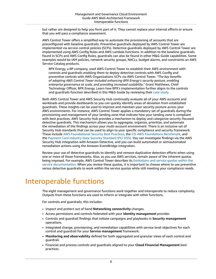but rather are designed to help you form part of it. They cannot replace your internal efforts or ensure that you will pass a compliance assessment.

AWS Control Tower offers a simplified way to automate the provisioning of accounts that are preconfigured with baseline guardrails. Preventive guardrails deployed by AWS Control Tower are implemented via service control policies (SCPs). Detective guardrails deployed by AWS Control Tower are implemented using AWS Config Rules and AWS Lambda functions. In addition to the baseline guardrails found in SCPs and AWS Config Rules, guardrails can also be found in other M&G Guide capabilities. Some examples would be IAM policies, network security groups, NACLs, budget alarms, and constraints on AWS Service Catalog products.

BPX Energy, a BP company, used AWS Control Tower to establish their AWS environment with controls and guardrails enabling them to deploy detective controls with AWS Config and preventive controls with AWS Organizations SCPs via AWS Control Tower. *"The key benefits of adopting AWS Control Tower included enhancing BPX Energy's security posture, enabling enterprise governance at scale, and providing increased scalability."* Grant Matthews, Chief Technology Officer, BPX Energy. Learn how BPX's implementation further aligns to the controls and guardrails function described in this M&G Guide by reviewing their [case study](http://aws.amazon.com/solutions/case-studies/bpx-energy/).

Both AWS Control Tower and AWS Security Hub continually evaluate all of your AWS accounts and workloads and provide dashboards so you can quickly identify areas of deviation from established guardrails. These insights can be used to improve and maintain your security posture across your AWS environments. For instance, AWS Control Tower applies a mandatory set of guardrails during the provisioning and management of your landing zone that indicate how your landing zone is compliant with best practices. AWS Security Hub provides a mechanism to deploy and categorize security-focused detective guardrails. This mechanism allows you to aggregate, organize, prioritize, and automate the remediation of the findings across your multi-account environment. There is an inclusive set of Security Hub standards that can be used to align to your specific compliance and security framework. These include AWS [Foundational](https://docs.aws.amazon.com/securityhub/latest/userguide/securityhub-standards-fsbp.html) Security Best Practices, the CIS AWS [Foundations](https://docs.aws.amazon.com/securityhub/latest/userguide/securityhub-standards-cis.html) Benchmark, and the Payment Card Industry Data Security [Standard](https://docs.aws.amazon.com/securityhub/latest/userguide/securityhub-standards-pcidss.html) (PCI DSS). You can investigate findings via the AWS Security Hub integration with Amazon Detective, and you can build automated or semiautomated remediation actions using the Amazon EventBridge integration.

Review your use of detective guardrails to identify and remove duplicative detection efforts when using one or more of these frameworks. Also, as you use AWS services, remain aware of the inherent quotas being imposed. For example, AWS Control Tower describes its [limitations](https://docs.aws.amazon.com/controltower/latest/userguide/limits.html) and service quotas within the service [documentation.](https://docs.aws.amazon.com/controltower/latest/userguide/limits.html) When you review these quotas, it is important to choose where to use preventive versus detective guardrails to work within the service quotas while still meeting your compliance needs.

### <span id="page-10-0"></span>Interoperable functions

The eight management and governance functions work together and interoperate to reduce complexity. Outputs from these functions are used to inform or integrate with other functions.

For controls and guardrails, this includes:

- Inspect and protect out of band **Networking connectivity** changes.
- Access permissions and controls federated with your **Identity management** provider.
- Controls and guardrail findings that initiate campaigns and playbooks in **Security management** operations.
- Integrated change, provisioning, and remediation capabilities with service level objectives for each control and guardrail for your **Service management** framework.
- **Monitoring and observability** defined for both aggregated and granular views of each control and guardrail.
- Financial and process controls and guardrails aligned to your **Cloud Financial Management** best practices.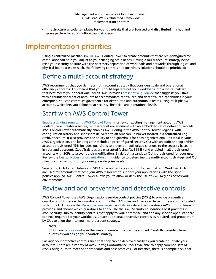• Infrastructure as code templates for your guardrails that are **Sourced** and **distributed** in a hub and spoke pattern for your multi-account strategy.

# <span id="page-11-0"></span>Implementation priorities

Using a centralized mechanism like AWS Control Tower to create accounts that are pre-configured for compliance can help you adjust to your changing scale needs. Having a multi-account strategy helps raise your security posture with the necessary separation of workloads and networks through logical and physical boundaries. As such, the following controls and guardrails solutions should be prioritized:

#### <span id="page-11-1"></span>Define a multi-account strategy

AWS recommends that you define a multi-account strategy that considers scale and operational efficiency concerns. This means that you should separate out your workloads into a logical pattern that best meets your operational needs. AWS provides [prescriptive](http://aws.amazon.com/blogs/mt/best-practices-for-organizational-units-with-aws-organizations/) guidance that suggests you start with a foundational set of accounts to accommodate centralized and decentralized capabilities in your enterprise. You can centralize governance for distributed and autonomous teams using multiple AWS accounts, which lets you delineate at security, financial, and operational levels.

#### <span id="page-11-2"></span>Start with AWS Control Tower

Enable a [landing](https://docs.aws.amazon.com/controltower/latest/userguide/getting-started-with-control-tower.html) zone using AWS Control Tower in a new or existing management account. AWS Control Tower creates a secure, multi-account environment with an embedded set of default guardrails. AWS Control Tower automatically enables AWS Config in the AWS Control Tower Regions, with configuration history and snapshots delivered to an Amazon S3 bucket located in a centralized Log Archive account. It also provides the ability to add guardrails for each organizational unit (OU) in your AWS Organization. The landing zone includes a preconfigured security OU with an audit and log archive account provisioned. This includes guardrails to prevent unauthorized changes to the security baseline in your audit account. CloudTrail logs are encrypted (using AWS KMS) and enabled in all provisioned accounts with SCPs to prevent their modification. By default, a sandbox OU is provisioned for your use. Review the best practices for [organization](http://aws.amazon.com/blogs/mt/best-practices-for-organizational-units-with-aws-organizations/) unit guidance to determine the multi-account strategy and OU structure that will support your unique enterprise needs.

Separating OUs by regulatory and SDLC environments is a commonly used pattern. Workload OUs are used for accounts that host your AWS resources to support your applications with the right policies applied. AWS Control Tower allows you to allow or deny the use of AWS Regions across your environments.

#### <span id="page-11-3"></span>Review and add preventive and detective controls

AWS Control Tower uses AWS Organizations service control policies (SCPs) to provide preventive guardrails. SCPs define the guardrails or limits that IAM roles and users can have in the accounts located within the OU. Review the *strongly [recommended](https://docs.aws.amazon.com/controltower/latest/userguide/strongly-recommended-guardrails.html)* and *[elective](https://docs.aws.amazon.com/controltower/latest/userguide/elective-guardrails.html)* detective guardrails AWS Control Tower provides, and choose which guardrails to apply. Use the AWS Security Foundations best practices in AWS Security Hub to identify controls that apply to your enterprise, and add any specific open standard controls required for your workloads. Create additional preventive controls as required, and group them by OUs to align them to your multi-account strategy.

#### **Note**

SCPs have service [quotas](https://docs.aws.amazon.com/organizations/latest/userguide/orgs_reference_limits.html#min-max-values) in the size and number that can be applied. Carefully consider these quotas as you design your controls strategy.

Package your detective controls such that they can be deployed easily as you create or update your accounts. There are a variety of AWS Config Conformance Packs available to apply common sets of AWS Config rules to meet open standards and best practices. For instance, there is a sample pack that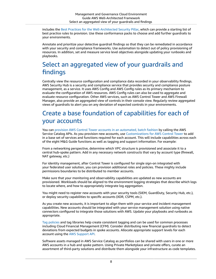includes the Best Practices for the [Well-Architected](https://docs.aws.amazon.com/config/latest/developerguide/operational-best-practices-for-wa-Security-Pillar.html) Security Pillar, which can provide a starting list of best practice rules to provision. Use these conformance packs to choose and add further guardrails to your environments.

Annotate and prioritize your detective guardrail findings so that they can be remediated in accordance with your security and compliance frameworks. Use automation to detect out of policy provisioning of resources. In addition, set and measure service level objectives alongside updating your runbooks and playbooks.

#### <span id="page-12-0"></span>Select an aggregated view of your guardrails and findings

Centrally view the resource configuration and compliance data recorded in your observability findings. AWS Security Hub is a security and compliance service that provides security and compliance posture management, as a service. It uses AWS Config and AWS Config rules as its primary mechanism to evaluate the configuration of AWS resources. AWS Config rules can also be used to aggregate and evaluate resource configuration. Other AWS services, such as AWS Control Tower and AWS Firewall Manager, also provide an aggregated view of controls in their console view. Regularly review aggregated views of guardrails to alert you on any deviation of expected controls in your environments.

#### <span id="page-12-1"></span>Create a base foundation of capabilities for each of your accounts

You can provision AWS Control Tower accounts in an [automated,](https://www.youtube.com/watch?v=LxxQTPdSFgw) batch fashion by calling the AWS Service Catalog APIs. As you provision new accounts, use [Customizations](https://docs.aws.amazon.com/controltower/latest/userguide/customize-landing-zone.html) for AWS Control Tower to add in a base set of services and functions required for each account. This will include capabilities across each of the eight M&G Guide functions as well as tagging and support information. For example:

From a networking perspective, determine which VPC structure is provisioned and associate it to a central hub-spoke pattern. Add in any necessary network constructs that vary by account type (firewall, NAT gateway, etc.)

For identity management, after Control Tower is configured for single sign-on integrated with your federated user solution, you can provision additional roles and policies. These mighty include permissions boundaries to be distributed to member accounts.

Make sure that your monitoring and observability capabilities are updated as new accounts are provisioned. Workloads should be aligned to the environment logging strategies that describe which logs to locate where, and how to appropriately integrate log aggregation.

You might need to register new accounts with your security tools (SIEM, GuardDuty, Security Hub, etc.), or deploy security capabilities to specific accounts (XDR, CSPM, etc.).

As you create new accounts, it is important to align them with your service and incident management capabilities. New accounts should be integrated with your service management solution using native connectors configured to integrate those solutions with AWS. Update your playbooks and runbooks as appropriate.

Tag [policies](https://docs.aws.amazon.com/organizations/latest/userguide/orgs_manage_policies_tag-policies.html) and tag libraries help create consistent tagging and can be used for common processes including Cloud Financial Management (CFM). Consider distributing new financial guardrails to detect deviations from expected budgets in spoke accounts. Allocate appropriate support levels for each account using the AWS [Support](https://docs.aws.amazon.com/awssupport/latest/user/Welcome.html) API.

Software assets managed in AWS Service Catalog as portfolios can be shared with users in one or more AWS accounts in a hub and spoke pattern. Using Private Marketplace and private offers, curate an assortment of third-party solutions and distribute them alongside your infrastructure as code templates.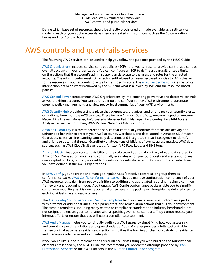Define which base set of resources should be directly provisioned or made available as a self-service model in each of your spoke accounts as they are created with solutions such as the Customization Framework for Control Tower.

# <span id="page-13-0"></span>AWS controls and guardrails services

The following AWS services can be used to help you follow the guidance provided by the M&G Guide:

AWS [Organizations](http://aws.amazon.com/organizations/) includes service control policies (SCPs) that you can use to provide centralized control over all accounts in your organization. You can configure an SCP to define a guardrail, or set a limit, on the actions that the account's administrator can delegate to the users and roles for the affected accounts. The administrator must still attach identity-based or resource-based policies to IAM roles, or to the resources in your accounts to actually grant [permissions](https://docs.aws.amazon.com/organizations/latest/userguide/orgs_manage_policies_scps.html#scp-effects-on-permissions). The effective permissions are the logical intersection between what is allowed by the SCP and what is allowed by IAM and the resource-based policies.

AWS [Control](http://aws.amazon.com/controltower/) Tower complements AWS Organizations by implementing preventive and detective controls as you provision accounts. You can quickly set up and configure a new AWS environment, automate ongoing policy management, and view policy-level summaries of your AWS environments.

AWS [Security](http://aws.amazon.com/security-hub/) Hub provides a single place that aggregates, organizes, and prioritizes your security alerts, or findings, from multiple AWS services. These include Amazon GuardDuty, Amazon Inspector, Amazon Macie, AWS Firewall Manager, AWS Systems Manager Patch Manager, AWS Config, AWS IAM Access Analyzer, as well as from many AWS Partner Network (APN) solutions.

Amazon [GuardDuty](http://aws.amazon.com/guardduty/) is a threat detection service that continually monitors for malicious activity and unintended behavior to protect your AWS accounts, workloads, and data stored in Amazon S3. Amazon GuardDuty uses machine learning, anomaly detection, and integrated threat intelligence to identify and prioritize potential threats. GuardDuty analyzes tens of billions of events across multiple AWS data sources, such as AWS CloudTrail event logs, Amazon VPC Flow Logs, and DNS logs.

[Amazon](http://aws.amazon.com/macie/) Macie gives you constant visibility of the data security and data privacy of your data stored in Amazon S3. Macie automatically and continually evaluates all of your S3 buckets and alerts you to any unencrypted buckets, publicly accessible buckets, or buckets shared with AWS accounts outside those you have defined in the AWS Organizations.

In AWS [Config](http://aws.amazon.com/config/), you to create and manage singular rules (detective controls), or group them as conformance packs. AWS Config [conformance](https://docs.aws.amazon.com/config/latest/developerguide/conformance-packs.html) packs help you manage configuration compliance of your AWS resources at scale – from policy definition to auditing and aggregated reporting – using a common framework and packaging model. Additionally, AWS Config conformance packs enable you to simplify compliance reporting, as it is now reported at a new level - the pack level alongside the detailed view for each individual rule and resource level.

The AWS Config [Conformance](https://docs.aws.amazon.com/config/latest/developerguide/conformancepack-sample-templates.html) Pack Sample Templates help you create your own conformance packs with different or additional rules, input parameters, and remediation actions that suit your environment. The sample templates, including many related to compliance standards and industry benchmarks, are not designed to ensure your compliance with a specific governance standard. They cannot replace your internal efforts or ensure that you will pass a compliance assessment.

AWS Audit [Manager](http://aws.amazon.com/audit-manager/) helps you continually audit your AWS usage by simplifying how you assess risk and compliance with regulations and open standards. Audit Manager provides a fully customizable framework that automates evidence collection, simplifies the tracking of chain of custody for evidence, and manages evidence security and integrity.

If you would like support implementing this guidance, or assisting you with building the foundational elements prescribed by the M&G Guide, we recommend you review the offerings provided by [AWS](http://aws.amazon.com/professional-services/) [Professional](http://aws.amazon.com/professional-services/) Services or the AWS Partners in the Built on Control Tower [program.](http://aws.amazon.com/controltower/partners/)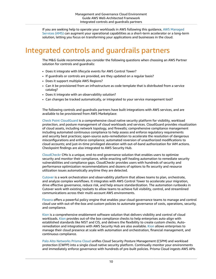If you are seeking help to operate your workloads in AWS following this guidance, AWS [Managed](http://aws.amazon.com/managed-services/) [Services](http://aws.amazon.com/managed-services/) (AMS) can augment your operational capabilities as a short-term accelerator or a long-term solution, letting you focus on transforming your applications and businesses in the cloud.

# <span id="page-14-0"></span>Integrated controls and guardrails partners

The M&G Guide recommends you consider the following questions when choosing an AWS Partner solution for controls and guardrails:

- Does it integrate with lifecycle events for AWS Control Tower?
- If guardrails or controls are provided, are they updated on a regular basis?
- Does it support multiple AWS Regions?
- Can it be provisioned from an infrastructure as code template that is distributed from a service catalog?
- Does it integrate with an observability solution?
- Can changes be tracked automatically, or integrated to your service management tool?

The following controls and guardrails partners have built integrations with AWS services, and are available to be provisioned from AWS Marketplace:

Check Point [CloudGuard](http://aws.amazon.com/marketplace/solutions/control-tower/operational-intelligence/#CloudGuard) is a comprehensive cloud native security platform for visibility, workload protection, and posture management of cloud workloads and services. CloudGuard provides visualization of cloud assets, including network topology, and firewalls; comprehensive compliance management including automated continuous compliance to help assess and enforce regulatory requirements and security best practices; open-source auto-remediation to accelerate the resolution of dangerous misconfigurations and enforce compliance; automated reversion of unauthorized modifications to cloud accounts; and just-in-time privileged elevation with out-of-band authorization for IAM actions. Checkpoint findings are also integrated to AWS Security Hub.

[CloudCheckr](http://aws.amazon.com/marketplace/solutions/control-tower/cost-management-and-governance/#CloudCheckr) CMx is a unique, end-to-end governance solution that enables users to optimize security and monitor their compliance, while enacting self-healing automation to remediate security vulnerabilities and compliance gaps. CloudCheckr provides users with hundreds of security and performance optimization recommendations and dozens of options to fix security and resource utilization issues automatically anytime they are detected.

[Cutover](http://aws.amazon.com/marketplace/solutions/control-tower/operational-intelligence/#Cutover) is a work orchestration and observability platform that allows teams to plan, orchestrate, and analyze complex workflows. It integrates with AWS Control Tower to accelerate your migration, drive effective governance, reduce risk, and help ensure standardization. The automation runbooks in Cutover work with existing toolsets to allow teams to achieve full visibility, control, and streamlined communications across their multi-account AWS environments.

[Flexera](http://aws.amazon.com/marketplace/solutions/control-tower/cost-management-and-governance/#Flexera) offers a powerful policy engine that enables your cloud governance teams to manage and control cloud use with out-of-the-box and custom policies to automate governance of costs, operations, security, and compliance.

[Kion](http://aws.amazon.com/marketplace/solutions/control-tower/cost-management-and-governance/#cloudtamer.io) is a comprehensive enablement software solution that delivers visibility and control of cloud workloads. [Kion](http://aws.amazon.com/marketplace/solutions/control-tower/cost-management-and-governance/#cloudtamer.io) provides out-of-the box compliance checks to help enterprises auto-align with established standards like NIST and CIS, and delivers the flexibility to create custom checks. Autoremediation and integrations with AWS Security Hub are also available. [Kion](http://aws.amazon.com/marketplace/solutions/control-tower/cost-management-and-governance/#cloudtamer.io) allows enterprises to manage their cloud presence at scale with automation and orchestration, financial management, and continuous compliance.

Palo Alto [Networks](http://aws.amazon.com/marketplace/solutions/control-tower/security/#Palo_Alto) Prisma Cloud unifies Cloud Security Posture Management (CSPM) and workload protection (CWPP) into a single cloud native security platform. Continually monitor your environments and immediately enforce governance with hundreds of pre-built policies. Prisma Cloud ingests AWS APIs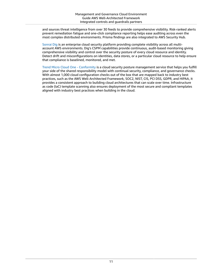and sources threat intelligence from over 30 feeds to provide comprehensive visibility. Risk-ranked alerts prevent remediation fatigue and one-click compliance reporting helps ease auditing across even the most complex distributed environments. Prisma findings are also integrated to AWS Security Hub.

[Sonrai Dig](http://aws.amazon.com/marketplace/solutions/control-tower/security/#Sonrai_Security) is an enterprise cloud security platform providing complete visibility across all multiaccount AWS environments. Dig's CSPM capabilities provide continuous, audit-based monitoring giving comprehensive visibility and control over the security posture of every cloud resource and identity. Detect drift and misconfigurations on identities, data stores, or a particular cloud resource to help ensure that compliance is baselined, monitored, and met.

Trend Micro Cloud One - [Conformity](http://aws.amazon.com/marketplace/solutions/control-tower/operational-intelligence/#TrendMicro) is a cloud security posture management service that helps you fulfill your side of the shared responsibility model with continual security, compliance, and governance checks. With almost 1,000 cloud configuration checks out of the box that are mapped back to industry best practices, such as the AWS Well-Architected Framework, SOC2, NIST, CIS, PCI DSS, GDPR, and HIPAA, it provides a consistent approach to building cloud architectures that can scale over time. Infrastructure as code (IaC) template scanning also ensures deployment of the most secure and compliant templates aligned with industry best practices when building in the cloud.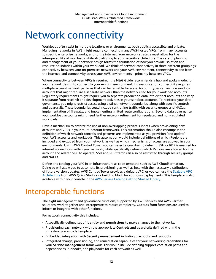# <span id="page-16-0"></span>Network connectivity

Workloads often exist in multiple locations or environments, both publicly accessible and private. Managing networks in AWS might require connecting many AWS-hosted VPCs from many accounts to specific enterprise networks, and to the internet. Your network strategy must allow for the interoperability of workloads while also aligning to your security architecture. The careful planning and management of your network design forms the foundation of how you provide isolation and resource boundaries within your workload. We think of network connectivity in three different groupings: connectivity between your on-premises network and your AWS environment, connectivity to and from the internet, and connectivity across your AWS environments—primarily between VPCs.

Where connectivity between VPCs is required, the M&G Guide recommends a hub and spoke model for your network design to connect to your existing environment. Intra-application connectivity requires multiple account network patterns that can be reusable for scale. Account types can include sandbox accounts that might require a separate network than the network used for your workload accounts. Regulatory requirements might require you to separate production data into distinct accounts and keep it separate from research and development activities in your sandbox accounts. To reinforce your data governance, you might restrict access using distinct network boundaries, along with specific controls and guardrails. These boundaries could include controlling traffic with security groups and NACLs, implementation of firewalls, and implementing limited route configurations. Beyond data governance, your workload accounts might need further network refinement for regulated and non-regulated workloads.

Have a mechanism to enforce the use of non-overlapping private subnets when provisioning new accounts and VPCs in your multi-account framework. This automation should also encompass the definition of which network controls and patterns are implemented as you provision (and update) your AWS accounts and workloads. This automation would include definitions of which Regions are included and excluded from your network, as well as which mechanisms of access are allowed in your environments. Using AWS Control Tower, you can select a guardrail to detect if SSH or RDP is enabled for internet connections within your network, while specifically defining which Regions are allowed for the account and related VPC to operate. SSH and RDP traffic can also be restricted through security groups and NACLs.

Define and catalog your VPC in an infrastructure as code template such as AWS CloudFormation. Doing so will allow you to automate its provisioning as well as help with the necessary distributions of future version updates. AWS Control Tower provides a default VPC, or you can use the [Scalable VPC](http://aws.amazon.com/quickstart/architecture/vpc/) [Architecture](http://aws.amazon.com/quickstart/architecture/vpc/) from AWS Quick Starts as a building block for your own deployments. This template is also available within your console in the AWS Service [Catalog](https://console.aws.amazon.com/servicecatalog/home?portfolios%3FactiveTab=gslAdminPortfolios®ion=us-east-1#getting-started-library) Getting Started Library.

# <span id="page-16-1"></span>Interoperable functions

The eight management and governance functions, supported by AWS services and AWS Partner solutions, work together and interoperate to reduce complexity. Outputs from functions are used to inform or integrate with other functions.

For network connectivity this includes:

- A specifically defined set of **Identity and permissions** to make changes to the networks.
- Provisioning each network with the appropriate **Controls and guardrails** defined within the infrastructure as code template.
- Embedded integration with **Security management** including playbooks and runbooks.
- Integrated change, provisioning, and remediation capabilities for your networking capabilities for your **Service management** framework. This would include defining support escalation paths and dependencies, runbooks, and playbooks for each network as well.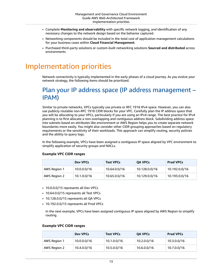- Complete **Monitoring and observability** with specific network logging, and identification of any necessary changes to the network design based on the behavior captured.
- Networking components should be included in the total cost of application management calculations for your business cases within **Cloud Financial Management**.
- Purchased third-party solutions or custom-built networking solutions **Sourced and distributed** across environments

### <span id="page-17-0"></span>Implementation priorities

Network connectivity is typically implemented in the early phases of a cloud journey. As you evolve your network strategy, the following items should be prioritized.

#### <span id="page-17-1"></span>Plan your IP address space (IP address management – IPAM)

Similar to private networks, VPCs typically use private or RFC 1918 IPv4 space. However, you can also use publicly routable non-RFC 1918 CIDR blocks for your VPC. Carefully plan the IP address space that you will be allocating to your VPCs, particularly if you are using an IPv4 range. The best practice for IPv4 planning is to first allocate a non-overlapping and contiguous address block. Subdividing address space into subnets based on attributes like environment or AWS Region helps you to create separate network boundaries more easily. You might also consider other CIDR grouping approaches based on regulatory requirements or the sensitivity of their workloads. This approach can simplify routing, security policies and the ability to query logs.

In the following example, VPCs have been assigned a contiguous IP space aligned by VPC environment to simplify application of security groups and NACLs.

#### **Example VPC CIDR ranges**

|              | Dev VPCs    | <b>Test VPCs</b> | <b>OA VPCs</b> | <b>Prod VPCs</b> |
|--------------|-------------|------------------|----------------|------------------|
| AWS Region 1 | 10.0.0.0/16 | 10.64.0.0/16     | 10.128.0.0/16  | 10.192.0.0/16    |
| AWS Region 2 | 10.1.0.0/16 | 10.65.0.0/16     | 10.129.0.0/16  | 10.193.0.0/16    |

- 10.0.0.0/15 represents all Dev VPCs
- 10.64.0.0/15 represents all Test VPCs
- 10.128.0.0/15 represents all QA VPCs
- 10.192.0.0/15 represents all Prod VPCs

In the next example, VPCs have been assigned contiguous IP space aligned by AWS Region to simplify routing.

#### **Example VPC CIDR ranges**

|              | Dev VPCs    | <b>Test VPCs</b> | <b>OA VPCs</b> | <b>Prod VPCs</b> |
|--------------|-------------|------------------|----------------|------------------|
| AWS Region 1 | 10.0.0.0/16 | 10.1.0.0/16      | 10.2.0.0/16    | 10.3.0.0/16      |
| AWS Region 2 | 10.4.0.0/16 | 10.5.0.0/16      | 10.6.0.0/16    | 10.7.0.0/16      |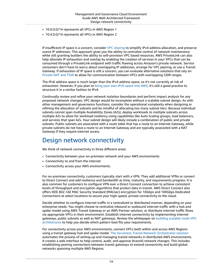- 10.0.0.0/14 represents all VPCs in AWS Region 1
- 10.4.0.0/14 represents all VPCs in AWS Region 2

If insufficient IP space is a concern, consider [VPC sharing](http://aws.amazon.com/blogs/networking-and-content-delivery/vpc-sharing-a-new-approach-to-multiple-accounts-and-vpc-management/) to simplify IPv4 address allocation, and preserve scarce IP addresses. This approach gives you the ability to centralize control of network maintenance while still granting builders the ability to self-provision VPC based resources. AWS PrivateLink can also help alleviate IP exhaustion and overlap by enabling the creation of services in your VPCs that can be consumed through a PrivateLink endpoint with traffic flowing across Amazon's private network. Service consumers don't have to worry about overlapping IP addresses, arrange for VPC peering, or use a Transit Gateway. If exhaustion of IP space is still a concern, you can evaluate alternative solutions that rely on [Private](http://aws.amazon.com/blogs/networking-and-content-delivery/how-to-solve-private-ip-exhaustion-with-private-nat-solution/) NAT and TGW to allow for communication between VPCs with overlapping CIDR ranges.

The IPv6 address space is much larger than the IPv4 address space, so it's not currently at risk of exhaustion. However, if you plan to bring your own IPv6 [space](https://docs.aws.amazon.com/vpc/latest/userguide/get-started-ipv6.html) into AWS, it's still a good practice to structure it in a similar fashion to IPv4.

Continually review and refine your network isolation boundaries and perform impact analysis for any proposed network changes. VPC design would be incomplete without a scalable subnet design. As with other management and governance functions, consider the operational complexity when designing or refining the allocation of subnets and be mindful of allocating too many subnet tiers. Because individual subnets cannot span multiple Availability Zones (AZs), deploy workloads to multiple subnets across multiple AZs to allow for workload resiliency using capabilities like Auto Scaling groups, load balancers, and services that span AZs. Your subnet design will likely include a combination of public and private subnets. Public subnets are associated with a route table that has a route to an Internet Gateway, while private subnets do not have a route to an Internet Gateway and are typically associated with a NAT Gateway if they require internet access.

#### <span id="page-18-0"></span>Design network connectivity

We think of network connectivity in three different areas:

- Connectivity between your on-premises network and your AWS environments
- Connectivity to and from the internet
- Connectivity across your AWS environments.

For on-premises connectivity, customers typically start with a VPN. They add additional VPNs or convert to Direct Connect and add resilience and bandwidth as time, maturity, and requirements progress. It is also common for customers to configure VPN over a Direct Connect connection to achieve consistent levels of throughput and encryption algorithms that protect data in transit. AWS Direct Connect also offers IEEE 802.1AE MAC Security Standard (MACsec) encryption for 10Gbps and 100Gbps Dedicated Connections at select locations to secure your high-speed, private connectivity to the cloud.

Decide whether to configure internet traffic in a centralized or distributed manner, depending on your enterprise needs. You might choose to centralize inbound or outbound internet traffic with a hub and spoke model using AWS Transit Gateway or an AWS Partner solution, or distribute internet traffic flows via appropriate VPCs in their environment. Establish internet connectivity by implementing internet gateways, public subnets as well as NAT gateways. Review the whitepaper on [building scalable multi-VPC](https://d1.awsstatic.com/whitepapers/building-a-scalable-and-secure-multi-vpc-aws-network-infrastructure.pdf?did=wp_card&trk=wp_card) [architectures](https://d1.awsstatic.com/whitepapers/building-a-scalable-and-secure-multi-vpc-aws-network-infrastructure.pdf?did=wp_card&trk=wp_card) to help you decide which pattern best fits your requirements.

For connectivity across your AWS environments, connect VPCs both within and across AWS Regions using a transit gateway hub and spoke model. The Serverless Transit Network [Orchestrator](http://aws.amazon.com/solutions/implementations/serverless-transit-network-orchestrator) solution automates the process of setting up and managing transit networks in distributed AWS environments. It creates a web interface to help control, audit, and approve (transit) network changes. This includes establishing peering connections between transit gateways to extend connectivity and build global networks spanning multiple AWS Regions.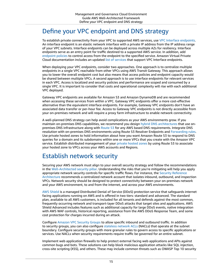#### <span id="page-19-0"></span>Define your VPC endpoint and DNS strategy

To establish private connectivity from your VPC to supported AWS services, use VPC Interface [endpoints.](https://docs.aws.amazon.com/vpc/latest/privatelink/vpce-interface.html) An interface endpoint is an elastic network interface with a private IP address from the IP address range of your VPC subnets. Interface endpoints can be deployed across multiple AZs for resiliency. Interface endpoints serve as an entry point for traffic destined to a supported AWS service. In addition, add [endpoint policies](https://docs.aws.amazon.com/vpc/latest/privatelink/vpc-endpoints-access.html) to control access from the endpoint to the specified service. Amazon Virtual Private Cloud documentation includes an updated list of [services](https://docs.aws.amazon.com/vpc/latest/privatelink/integrated-services-vpce-list.html) that support VPC Interface endpoints.

When deploying your VPC endpoints, consider two approaches. One approach is to centralize multiple endpoints in a single VPC reachable from other VPCs using AWS Transit Gateway. This approach allows you to lower the overall endpoint cost but also means that access policies and endpoint capacity would be shared between multiple VPCs. A second approach is to use interface endpoints for relevant services in each VPC. Access is localized and security policies and performance are scoped and consumed by a single VPC. It is important to consider that costs and operational complexity will rise with each additional VPC deployed.

Gateway VPC endpoints are available for Amazon S3 and Amazon DynamoDB and are recommended when accessing these services from within a VPC. Gateway VPC endpoints offer a more cost-effective alternative than the equivalent interface endpoints. For example, Gateway VPC endpoints don't have an associated data transfer or per-hour fee. Access to Gateway VPC endpoints is not directly accessible from your on-premises network and will require a proxy farm infrastructure to enable network connectivity.

A well-planned DNS strategy can help avoid complications as your AWS environments grow. If you maintain on-premises DNS capabilities, we recommend you design hybrid DNS [architectures](https://docs.aws.amazon.com/prescriptive-guidance/latest/patterns/set-up-integrated-dns-resolution-for-hybrid-networks-in-amazon-route-53.html) that use onpremises DNS infrastructure along with [Route](http://aws.amazon.com/route53/) 53 for any AWS based DNS requirements. Integrate DNS resolution with on-premises DNS environments using Route 53 Resolver Endpoints and [Forwarding](https://docs.aws.amazon.com/Route53/latest/DeveloperGuide/resolver-rules-managing.html) rules. Use private hosted zones to hold information about how you want Amazon Route 53 to respond to DNS queries for a domain and its subdomains within one or more VPCs that you create with the Amazon VPC service. Establish distributed management of your [private](https://docs.aws.amazon.com/Route53/latest/DeveloperGuide/hosted-zone-private-associate-vpcs.html) hosted zones by using Route 53 to associate your hosted zone to VPCs across your AWS accounts and Regions.

#### <span id="page-19-1"></span>Establish network security

Securing your AWS network must align to your overall security strategy and follow the recommendations in the [Well-Architected](https://docs.aws.amazon.com/wellarchitected/latest/security-pillar/welcome.html) security pillar. Understanding the risks that you're mitigating will help you apply appropriate network security controls for specific traffic flows. For instance, the Security [Reference](https://docs.aws.amazon.com/prescriptive-guidance/latest/security-reference-architecture/architecture.html) [Architecture](https://docs.aws.amazon.com/prescriptive-guidance/latest/security-reference-architecture/architecture.html) recommends a centralized network account that isolates inbound, outbound, and inspection VPCs. Network security should be designed to protect connectivity between your on-premises network and your AWS environment, to and from the internet, and across your AWS environments.

AWS [Shield](http://aws.amazon.com/shield/) is a managed Distributed Denial of Service (DDoS) protection service that safeguards internet facing applications running on AWS and is offered in two tiers: standard and advanced. The standard plan, available to all AWS customers, is included for all tenants and defends against the most common, frequently occurring network and transport-layer DDoS attacks that target sites and applications. AWS Shield Advanced includes features such as additional capacity for large DDoS events, native integration with AWS WAF controls, historical reporting, assistance from the AWS DDoS Response Team, and some cost protection for charges incurred during an attack.

Configure [Amazon](https://docs.aws.amazon.com/vpc/latest/userguide/VPC_SecurityGroups.html) VPC Security Groups to allow specific inbound and outbound traffic. In addition to security groups, you can also configure [stateless](https://docs.aws.amazon.com/vpc/latest/userguide/vpc-network-acls.html) network ACLs (NACLs) that operate at the subnet boundary. Configure security groups with more granular rules to govern access to specific applications or services. Use NACLs when security requirements require traffic be governed for an entire subnet.

Implement web application firewalls to help protect external facing web applications and APIs against common bugs and bots. These solutions can help block malicious application attacks like SQL injection, cross-site scripting (XSS), and others. These may include common threats such as OWASP Top 10 security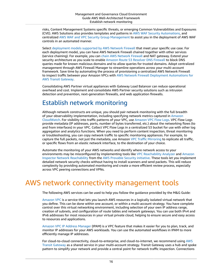risks, Content Management Systems specific threats, or emerging Common Vulnerabilities and Exposures (CVE). AWS Solutions also provides templates and patterns in AWS WAF Security [Automations](http://aws.amazon.com/solutions/implementations/aws-waf-security-automations), and centralized AWS WAF and VPC Security Group [Management](http://aws.amazon.com/solutions/implementations/aws-centralized-waf-and-vpc-security-group-management/) to assist you in the deployment of AWS WAF controls in an automated manner.

Select [deployment](http://aws.amazon.com/blogs/networking-and-content-delivery/deployment-models-for-aws-network-firewall/) models supported by AWS Network Firewall that meet your specific use case. For each deployment model, you can have AWS Network Firewall chained together with other services (service chaining). For example, you can chain AWS [Network](http://aws.amazon.com/blogs/networking-and-content-delivery/deployment-models-for-aws-network-firewall/) Firewall and NAT gateway. Extend your security architecture as you scale to enable Amazon Route 53 [Resolver](https://docs.aws.amazon.com/Route53/latest/DeveloperGuide/resolver-dns-firewall.html) DNS Firewall to block DNS queries made for known malicious domains and to allow queries for trusted domains. Adopt centralized management through AWS Firewall Manager to streamline operations across your multi-account framework. Save time by automating the process of provisioning a centralized AWS Network Firewall to inspect traffic between your Amazon VPCs with AWS Network Firewall Deployment [Automations](http://aws.amazon.com/solutions/implementations/aws-network-firewall-deployment-automations-for-aws-transit-gateway/) for AWS Transit [Gateway](http://aws.amazon.com/solutions/implementations/aws-network-firewall-deployment-automations-for-aws-transit-gateway/).

Consolidating AWS Partner virtual appliances with Gateway Load Balancer can reduce operational overhead and cost. Implement and consolidate AWS Partner security solutions such as intrusion detection and prevention, next-generation firewalls, and web application firewalls.

#### <span id="page-20-0"></span>Establish network monitoring

Although network constructs are unique, you should pair network monitoring with the full breadth of your observability implementation, including specifying network metrics captured in [Amazon](http://aws.amazon.com/cloudwatch/) [CloudWatch.](http://aws.amazon.com/cloudwatch/) For visibility into traffic patterns of your VPC, use [Amazon](https://docs.aws.amazon.com/vpc/latest/userguide/flow-logs.html) VPC Flow Logs. VPC Flow Logs provide metadata (IP addresses, ports, number of bytes transferred, etc.) about the networking flows (to and from interfaces) in your VPC. Collect VPC Flow Logs in a centralized S3 bucket for use with other log aggregation and analytics functions. When you need to perform content inspection, threat monitoring or troubleshooting, you can copy network traffic to specific monitoring appliances. For example, to capture the full packets, not just the metadata, use Amazon VPC Traffic [Mirroring](https://docs.aws.amazon.com/vpc/latest/mirroring/what-is-traffic-mirroring.html) to replicate all traffic, or specific flows from an elastic network interface, to the destination of your choice.

Automate the monitoring of your AWS networks and identify where network access to your environments may be misconfigured by implementing tools like VPC [Reachability](https://docs.aws.amazon.com/vpc/latest/reachability/what-is-reachability-analyzer.html) Analyzer and [Amazon](https://docs.aws.amazon.com/inspector/latest/userguide/inspector_network-reachability.html) Inspector Network [Reachability](https://docs.aws.amazon.com/inspector/latest/userguide/inspector_network-reachability.html) from the AWS [Provable](http://aws.amazon.com/security/provable-security/) Security initiative. These tools let you implement detailed network security checks without having to install scanners and send packets. This will reduce complexity by providing automated monitoring and create a more efficient review process, especially across VPC peering connections and VPNs.

# <span id="page-20-1"></span>AWS network connectivity management tools

The following AWS services can be used to help you follow the guidance provided by the M&G Guide:

[Amazon](http://aws.amazon.com/quickstart/architecture/vpc/) VPC is a service that lets you launch AWS resources in a logically isolated virtual network that you define. This can be done within one account, or within a multi-account strategy. You have complete control over this virtual networking environment, including selection of your own IP address range, creation of subnets, and configuration of route tables and network gateways. You can use both IPv4 and IPv6 addresses for most resources in your virtual private cloud, helping to ensure secure and easy access to resources and applications.

Amazon VPC IP Address [Manager](https://docs.aws.amazon.com/vpc/latest/ipam/what-it-is-ipam.html) (IPAM) is a VPC feature that makes it easier for you to plan, track, and monitor IP addresses for your AWS workloads. You can use the automated workflows in IPAM to more efficiently manage IP addresses.

For cloud-to-cloud connectivity, cloud-to-enterprise, and cloud-to-internet, we recommend using [AWS](http://aws.amazon.com/transit-gateway/) Transit [Gateway](http://aws.amazon.com/transit-gateway/) as a shared service in your multi-account strategy. Transit Gateway uses a hub and spoke pattern to simplify your network and provide a central point for network traffic inspection. Connections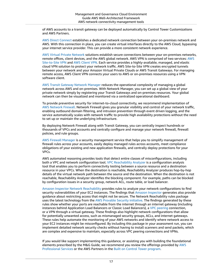of AWS accounts to a transit gateway can be deployed automatically by Control Tower Customizations and AWS Partners.

AWS Direct [Connect](https://docs.aws.amazon.com/directconnect/index.html) establishes a dedicated network connection between your on-premises network and AWS. With this connection in place, you can create virtual interfaces directly to the AWS Cloud, bypassing your internet service provider. This can provide a more consistent network experience.

AWS Virtual Private [Network](http://aws.amazon.com/vpn/) solutions establish secure connections between your on-premises networks, remote offices, client devices, and the AWS global network. AWS VPN is comprised of two services: [AWS](http://aws.amazon.com/vpn/site-to-site-vpn/) [Site-to-Site VPN](http://aws.amazon.com/vpn/site-to-site-vpn/) and AWS [Client](http://aws.amazon.com/vpn/client-vpn/) VPN. Each service provides a highly-available, managed, and elastic cloud VPN solution to protect your network traffic. AWS Site-to-Site VPN creates encrypted tunnels between your network and your Amazon Virtual Private Clouds or AWS Transit Gateways. For managing remote access, AWS Client VPN connects your users to AWS or on-premises resources using a VPN software client.

AWS Transit [Gateway](http://aws.amazon.com/transit-gateway/network-manager/) Network Manager reduces the operational complexity of managing a global network across AWS and on-premises. With Network Manager, you can set up a global view of your private network simply by registering your Transit Gateways and on-premises resources. Your global network can then be visualized and monitored via a centralized operational dashboard.

To provide preventive security for internet-to-cloud connectivity, we recommend implementation of AWS [Network](http://aws.amazon.com/network-firewall/) Firewall. Network Firewall gives you granular visibility and control of your network traffic, enabling outbound domain filtering, and intrusion prevention through event driven logging, and the service automatically scales with network traffic to provide high availability protections without the need to set up or maintain the underlying infrastructure.

By deploying Network Firewall along with Transit Gateway, you can centrally inspect hundreds or thousands of VPCs and accounts and centrally configure and manage your network firewall, firewall policies, and rule groups.

AWS Firewall [Manager](http://aws.amazon.com/firewall-manager/) is a security management service that helps you to simplify management of firewall rules across your accounts, easily deploy managed rules across accounts, meet compliance obligations of your existing and new application firewalls, and centrally deploy protections for your VPCs.

AWS automated reasoning provides tools that detect entire classes of misconfigurations, including both a VPC and network configuration tool. VPC [Reachability](https://docs.aws.amazon.com/vpc/latest/reachability/what-is-reachability-analyzer.html) Analyzer is a configuration analysis tool that enables you to perform connectivity testing between a source resource and a destination resource in your VPCs. When the destination is reachable, Reachability Analyzer produces hop-by-hop details of the virtual network path between the source and the destination. When the destination is not reachable, Reachability Analyzer identifies the blocking component. For example, paths can be blocked by configuration issues in a security group, network ACL, route table, or load balancer.

Amazon Inspector Network [Reachability](https://docs.aws.amazon.com/inspector/latest/userguide/inspector_network-reachability.html) provides rules to analyze your network configurations to find security vulnerabilities of your EC2 instances. The findings that Amazon [Inspector](https://docs.aws.amazon.com/inspector/latest/userguide/inspector_introduction.html) generates also provide guidance about restricting access that might not be secure. The Network Reachability rules package uses the latest technology from the AWS [Provable](http://aws.amazon.com/security/provable-security/) Security initiative. The findings generated by these rules show whether your ports are reachable from the internet through an internet gateway (including instances behind Application Load Balancers or Classic Load Balancers), a [VPC peering](https://docs.aws.amazon.com/vpc/latest/peering/what-is-vpc-peering.html) connection, or a VPN through a virtual gateway. These findings also highlight network configurations that allow for potentially unwanted access, such as mismanaged security groups, ACLs, and internet gateways. These rules help automate the monitoring of your AWS networks and identify where network access to your EC2 instances might be misconfigured. By including this package in your assessment run, you can implement detailed network security checks without having to install scanners and send packets, which are complex and expensive to maintain, especially across VPC peering connections and VPNs.

If you would like support implementing this guidance, or assisting you with building the foundational elements prescribed by the M&G Guide, we recommend you review the offerings provided by [AWS](http://aws.amazon.com/professional-services/) [Professional](http://aws.amazon.com/professional-services/) Services or the AWS Partners in the Built on Control Tower [program.](http://aws.amazon.com/controltower/partners/)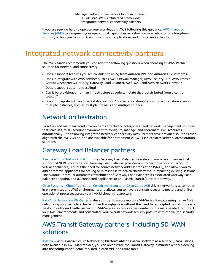If you are seeking help to operate your workloads in AWS following this guidance, AWS [Managed](http://aws.amazon.com/managed-services/) [Services](http://aws.amazon.com/managed-services/) (AMS) can augment your operational capabilities as a short-term accelerator or a long-term solution, letting you focus on transforming your applications and businesses in the cloud.

# <span id="page-22-0"></span>Integrated network connectivity partners

The M&G Guide recommends you consider the following questions when choosing an AWS Partner solution for network and connectivity:

- Does it support features you are considering using from Amazon VPC and Amazon EC2 instances?
- Does it integrate with AWS services such as AWS Firewall Manager, AWS Security Hub, AWS Transit Gateway, Amazon GuardDuty, Gateway Load Balancer, AWS WAF, and AWS Network Firewall?
- Does it support automatic scaling?
- Can it be provisioned from an infrastructure as code template that is distributed from a central catalog?
- Does it integrate with an observability solution? For instance, does it allow log aggregation across multiple instances, such as multiple firewalls and multiple routers?

#### <span id="page-22-1"></span>Network orchestration

To set up and maintain cloud environments effectively, enterprises need network management solutions that scale in a multi-account environment to configure, manage, and coordinate AWS resources automatically. The following integrated network connectivity AWS Partners have provided solutions that align with the M&G Guide, and are available for entitlement in AWS Marketplace: Network orchestration solutions

#### <span id="page-22-2"></span>Gateway Load Balancer partners

Aviatrix – Cloud Network [Platform](http://aws.amazon.com/marketplace/solutions/control-tower/network-orchestration/#Aviatrix) uses Gateway Load Balancer to scale and manage appliances that support GENEVE encapsulation. Gateway Load Balancer provides a high-performance connection to virtual appliances, reduces the need for source network address translation (SNAT), and allows you to add or remove appliances for scaling or in response to health checks without impacting existing sessions. The Aviatrix Controller automates attachment of Gateway Load Balancer, its associated Gateway Load Balancer endpoint, and all connected appliances to an Aviatrix Transit/FireNet Gateway.

Cisco Systems – Cloud Application Centric [Infrastructure](http://aws.amazon.com/marketplace/solutions/control-tower/network-orchestration/#Cisco) (Cisco Cloud ACI) drives networking automation in on-premises and AWS environments and allows you to have a consistent security posture and uniform operational processes across your hybrid cloud infrastructure.

Palo Alto Networks – [VM-Series](https://partners.amazonaws.com/partners/001E0000013FeQXIA0/Palo Alto Networks) scales your traffic across multiple VM-Series firewalls using native AWS networking constructs to achieve higher throughputs – without the need for encrypted tunnels for eastwest and outbound traffic inspection. VM-Series also reduces the number of firewalls needed to protect your AWS environments and consolidate your overall network security posture with centralized security management.

#### <span id="page-22-3"></span>AWS Transit Gateway partners, including SD-WAN solutions

[Aviatrix](http://aws.amazon.com/marketplace/solutions/control-tower/network-orchestration/#Aviatrix) – With Aviatrix Secure Networking Platform AMI or Aviatrix software as a service (SaaS) listings, both available in AWS Marketplace, you can orchestrate the Transit Gateway in minutes without delving into the configuration detail required in each VPC and route table.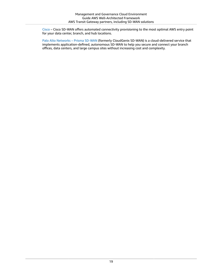[Cisco](http://aws.amazon.com/marketplace/solutions/control-tower/network-orchestration/#Cisco) – Cisco SD-WAN offers automated connectivity provisioning to the most optimal AWS entry point for your data center, branch, and hub locations.

Palo Alto [Networks](https://partners.amazonaws.com/partners/001E0000013FeQXIA0/Palo Alto Networks) – Prisma SD-WAN (formerly CloudGenix SD-WAN) is a cloud-delivered service that implements application-defined, autonomous SD-WAN to help you secure and connect your branch offices, data centers, and large campus sites without increasing cost and complexity.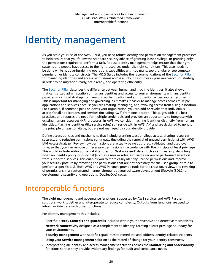# <span id="page-24-0"></span>Identity management

As you scale your use of the AWS Cloud, you need robust identity and permission management processes to help ensure that you follow the standard security advice of granting least privilege, or granting only the permissions required to perform a task. Robust identity management helps ensure that the right systems and people have access to the right resources under the right conditions. This also needs to be done while not overburdening operations capabilities with too many, too granular or too complex permission or identity constructs. The M&G Guide includes the recommendations of the [Security](https://docs.aws.amazon.com/wellarchitected/latest/security-pillar/identity-management.html) Pillar for managing identities and access permissions across all cloud resources in your multi-account strategy in order to be migration ready, scale ready, and operating efficiently.

The [Security](https://docs.aws.amazon.com/wellarchitected/latest/security-pillar/identity-management.html) Pillar describes the difference between human and machine identities. It also shows that centralized administration of human identities and access to your environments with an identity provider is a critical strategy to managing authentication and authorization across your enterprise. This is important for managing and governing, as it makes it easier to manage access across multiple applications and services because you are creating, managing, and revoking access from a single location. For example, if someone joins or leaves your organization, you can add or revoke that individual's access for all applications and services (including AWS) from one location. This aligns with ITIL best practices, and reduces the need for multiple credentials and provides an opportunity to integrate with existing human resources (HR) processes. In AWS, we consider machine identities distinctly from human identities. Machine identities (like service roles) still reside within AWS IAM and are designed to uphold the principle of least privilege, but are not managed by your identity provider.

Define access policies and mechanisms that include granting least privilege access, sharing resources securely, and reducing permissions continually (including the removal of unused permissions) with AWS IAM Access Analyzer. Review how permissions are actually being authored, validated, and used over time, so that you can remove unnecessary permissions in accordance with the principle of least privilege. This would include adding observability rules for "last accessed" data, such as a timestamp depicting when an identity policy or principal (such as a user or role) last used a service or performed an action from supported services. This enables you to more easily identify unused permissions and improve your security posture by removing the permissions that are not necessary for the user, group, or role to perform a specific task. Both AWS and AWS Partners provide tools for the creation, review, and revoking of permissions in an automated manner throughout your software development lifecycle (SDLC) or development, security and operations (DevSecOps) cycles.

# <span id="page-24-1"></span>Interoperable functions

The eight management and governance functions, supported by AWS services and AWS Partner solutions, work together and interoperate to reduce complexity. Outputs from functions are used to inform or integrate with other functions.

For identity management this includes:

- Specific identity **Controls and guardrails** included within your preventive and detective mechanisms.
- **Network connectivity** designed as a complement to identity, forming a least privilege boundary for your environments.
- **Security management** with specific capabilities to remediate and address identity-related incidents.
- Using your **Service management** solution as the record of change for your identity constructs**.**
- Incorporating all Identity and access management activities across the **Monitoring and observability** functions so that they provide evidentiary findings for audit and compliance needs.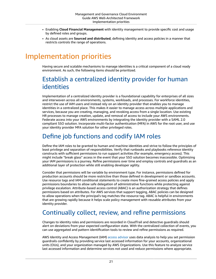- Enabling **Cloud Financial Management** with identity management to provide specific cost and usage by defined roles and groups.
- As cloud assets are **Sourced and distributed**, defining identity and access policies in a manner that restricts controls the range of operations.

# <span id="page-25-0"></span>Implementation priorities

Having secure and scalable mechanisms to manage identities is a critical component of a cloud ready environment. As such, the following items should be prioritized.

#### <span id="page-25-1"></span>Establish a centralized identity provider for human identities

Implementation of a centralized identity provider is a foundational capability for enterprises of all sizes and interwoven across all environments, systems, workloads, and processes. For workforce identities, restrict the use of IAM users and instead rely on an identity provider that enables you to manage identities in a centralized place. This makes it easier to manage access across multiple applications and services, because you are creating, managing, and revoking access from a single location. Use existing HR processes to manage creation, update, and removal of access to include your AWS environments. Federate access into your AWS environments by integrating the identity provider with a SAML 2.0 compliant SSO solution. Incorporate multi-factor authentication (MFA) in AWS for the root user, and use your identity provider MFA solution for other privileged roles.

#### <span id="page-25-2"></span>Define job functions and codify IAM roles

Define the IAM roles to be granted to human and machine identities and strive to follow the principles of least privilege and separation of responsibilities. Verify that runbooks and playbooks reference identity constructs with sufficient permissions to run support activities (for example, emergency access). This might include "break glass" access in the event that your SSO solution becomes inaccessible. Optimizing your IAM permissions is a journey. Refine permissions over time and employ controls and guardrails as an additional layer of protection while still enabling developer agility.

Consider that permissions will be variable by environment type. For instance, permissions defined for production accounts should be more restrictive than those defined in development or sandbox accounts. Use resource tags and IAM conditional statements to create more fine-grained access policies and apply permissions boundaries to allow safe delegation of administrative functions while protecting against privilege escalation. Attribute-based access control (ABAC) is an authorization strategy that defines permissions based on attributes. For AWS services that support tagging, ABAC policies can be designed to allow operations when the principal's tag matches the resource tag. ABAC is helpful in environments that are growing rapidly because it helps scale policy management with reusable attributes from your identity provider.

#### <span id="page-25-3"></span>Continually collect, review, and refine permissions

Changes to identity roles and permissions are recorded in CloudTrail and detective guardrails should alert on deviations from your expected configuration state. With the centralized collection of events, you can use aggregated and pattern identification tools to review and refine permissions as required.

AWS Identity and Access Management (IAM) access [advisor](https://docs.aws.amazon.com/IAM/latest/UserGuide/access_policies_access-advisor.html) uses data analysis to help you set permission guardrails confidently by providing service last accessed information for your accounts, organizational units (OUs), and your organization managed by AWS Organizations. Use this feature to analyze service last accessed information and determine services not used and reduce permissions where appropriate.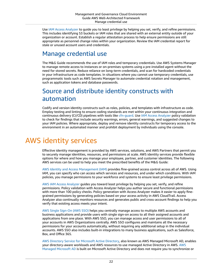Use IAM Access [Analyzer](https://docs.aws.amazon.com/IAM/latest/UserGuide/what-is-access-analyzer.html) to guide you to least privilege by helping you set, verify, and refine permissions. This includes identifying S3 buckets or IAM roles that are shared with an external entity outside of your organization or account. Establish a regular attestation process to help ensure permissions are still appropriate as personnel change roles within your organization. Review the IAM credential report for stale or unused account users and credentials.

#### <span id="page-26-0"></span>Manage credential use

The M&G Guide recommends the use of IAM roles and temporary credentials. Use AWS Systems Manager to manage remote access to instances or on-premises systems using a pre-installed agent without the need for stored secrets. Reduce reliance on long-term credentials, and scan for hardcoded credentials in your infrastructure as code templates. In situations where you cannot use temporary credentials, use programmatic tools such as AWS Secrets Manager to automate credential rotation and management, such as application tokens and database passwords.

#### <span id="page-26-1"></span>Source and distribute identity constructs with automation

Codify and version identity constructs such as roles, policies, and templates with infrastructure as code. Employ testing and linting to ensure coding standards are met within your continuous integration and continuous delivery (CI/CD) pipelines with tools like [cfn-guard.](http://aws.amazon.com/blogs/mt/introducing-aws-cloudformation-guard-2-0/) Use IAM Access [Analyzer](https://docs.aws.amazon.com/IAM/latest/UserGuide/what-is-access-analyzer.html) policy validation to check for findings that include security warnings, errors, general warnings, and suggested changes to your IAM policies. Where appropriate, deploy and remove identity constructs for temporary access to the environment in an automated manner and prohibit deployment by individuals using the console.

# <span id="page-26-2"></span>AWS identity services

Effective identity management is provided by AWS services, solutions, and AWS Partners that permit you to securely manage identities, resources, and permissions at scale. AWS identity services provide flexible options for where and how you manage your employee, partner, and customer identities. The following AWS services can be used to help you meet the prescribed benefits of the M&G Guide:

AWS Identity and Access [Management](http://aws.amazon.com/iam/) (IAM) provides fine-grained access control across all of AWS. Using IAM, you can specify who can access which services and resources, and under which conditions. With IAM policies, you manage permissions to your workforce and systems to ensure least privilege permissions.

AWS IAM Access [Analyzer](http://aws.amazon.com/iam/features/analyze-access/) guides you toward least privilege by helping you set, verify, and refine permissions. Policy validation with Access Analyzer helps you author secure and functional permissions with more than 100 policy checks. Policy generation with Access Analyzer makes it easier to apply finegrained permissions by generating policies based on your access activity in AWS CloudTrail. Access Analyzer also continually monitors resources and generates public and cross-account findings to help you verify that existing access meets your intent.

AWS Single [Sign-On](http://aws.amazon.com/single-sign-on/) (AWS SSO) helps you centrally manage access to multiple AWS accounts and business applications and provide users with single sign-on access to all their assigned accounts and applications from one place. With AWS SSO, you can manage access and user permissions to all of your accounts in AWS Organizations centrally. AWS SSO configures and maintains all the necessary permissions for your accounts automatically, without requiring any additional setup in the individual accounts. AWS SSO also includes built-in integrations to many business applications, such as Salesforce, Box, and Office 365.

AWS Directory Service for [Microsoft](http://aws.amazon.com/directoryservice/) Active Directory, also known as AWS Managed Microsoft AD, enables your directory-aware workloads and AWS resources to use managed Active Directory in AWS. [AWS](http://aws.amazon.com/directoryservice/active-directory/) Managed [Microsoft](http://aws.amazon.com/directoryservice/active-directory/) AD is built on Microsoft Active Directory and does not require you to synchronize or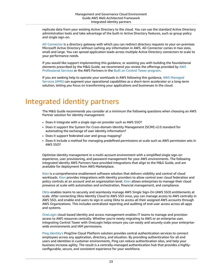replicate data from your existing Active Directory to the cloud. You can use the standard Active Directory administration tools and take advantage of the built-in Active Directory features, such as group policy and single sign-on.

AD [Connector](https://docs.aws.amazon.com/directoryservice/latest/admin-guide/directory_ad_connector.html) is a directory gateway with which you can redirect directory requests to your on-premises Microsoft Active Directory without caching any information in AWS. AD Connector comes in two sizes, small and large. You can spread application loads across multiple Active Directory connectors to scale to your performance needs.

If you would like support implementing this guidance, or assisting you with building the foundational elements prescribed by the M&G Guide, we recommend you review the offerings provided by [AWS](http://aws.amazon.com/professional-services/) [Professional](http://aws.amazon.com/professional-services/) Services or the AWS Partners in the Built on Control Tower [program.](http://aws.amazon.com/controltower/partners/)

If you are seeking help to operate your workloads in AWS following this guidance, AWS [Managed](http://aws.amazon.com/managed-services/) [Services](http://aws.amazon.com/managed-services/) (AMS) can augment your operational capabilities as a short-term accelerator or a long-term solution, letting you focus on transforming your applications and businesses in the cloud.

# <span id="page-27-0"></span>Integrated identity partners

The M&G Guide recommends you consider at a minimum the following questions when choosing an AWS Partner solution for identity management:

- Does it integrate with a single sign-on provider such as AWS SSO?
- Does it support the System for Cross-domain Identity Management (SCIM) v2.0 standard for automating the exchange of user identity information?
- Does it support federated user and group mapping?
- Does it include a method for managing predefined permissions at scale such as AWS permission sets in AWS SSO?

Optimize identity management in a multi-account environment with a simplified single sign-on experience, user provisioning, and password management for your AWS environments. The following integrated identity AWS Partners have provided integrations that align to the M&G Guide, and are available for deployment from AWS Marketplace.

[Kion](http://aws.amazon.com/marketplace/solutions/control-tower/cost-management-and-governance/#cloudtamer.io) is a comprehensive enablement software solution that delivers visibility and control of cloud workloads. [Kion](http://aws.amazon.com/marketplace/solutions/control-tower/cost-management-and-governance/#cloudtamer.io) provides integrations with identity providers to allow control over cloud federation and policy controls at an account and an organization level. [Kion](http://aws.amazon.com/marketplace/solutions/control-tower/cost-management-and-governance/#cloudtamer.io) allows enterprises to manage their cloud presence at scale with automation and orchestration, financial management, and compliance.

[Okta](http://aws.amazon.com/marketplace/solutions/control-tower/identity-management/#Okta) enables teams to securely and seamlessly manage AWS Single Sign-On (AWS SSO) entitlements at scale. After connecting Okta Identity Cloud to AWS SSO once, you can manage access to AWS centrally in AWS SSO, and enable end users to sign in using Okta to access all their assigned AWS accounts through AWS Organizations. This includes centralized reporting and auditing of end-user access across all apps and systems.

[OneLogin](http://aws.amazon.com/marketplace/solutions/control-tower/identity-management/#OneLogin) cloud-based identity and access management enables IT teams to manage and provision access to AWS resources centrally. Whether you're newly migrating to AWS or an enterprise user, integrating Control Tower with OneLogin helps ensure you can easily and securely scale your enterprisewide environments and IAM permissions.

Ping [Identity's](http://aws.amazon.com/marketplace/solutions/control-tower/identity-management/#PingIdentity) PingOne Cloud Platform solution provides central authentication services to connect employees across any application, directory, and situation. By providing authentication for all end users and identities in customer environments, Ping can reduce authentication silos, and help your business increase agility. The result is a centrally-managed authentication hub that provides a highlyconfigurable, secure, and consistent experience for your workforce.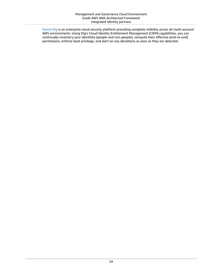[Sonrai Dig](http://aws.amazon.com/marketplace/solutions/control-tower/security/#Sonrai_Security) is an enterprise cloud security platform providing complete visibility across all multi-account AWS environments. Using Dig's Cloud Identity Entitlement Management (CIEM) capabilities, you can continually inventory your identities (people and non-people), compute their effective (end-to-end) permissions, enforce least privilege, and alert on any deviations as soon as they are detected.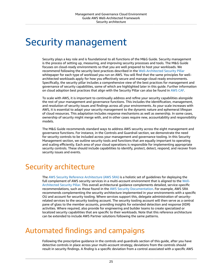# <span id="page-29-0"></span>Security management

Security plays a key role and is foundational to all functions of the M&G Guide. Security management is the process of setting up, measuring, and improving security processes and tools. The M&G Guide focuses on cloud-ready environments so that you are well prepared to host your workloads. We recommend following the security best practices described in the [Well-Architected](https://docs.aws.amazon.com/wellarchitected/latest/security-pillar/welcome.html) Security Pillar whitepaper for each type of workload you run on AWS. You will find that the same principles for wellarchitected workloads apply for how you effectively secure and manage cloud-ready environments. Specifically, the security pillar includes a comprehensive view of the best practices for management and governance of security capabilities, some of which are highlighted later in this guide. Further information on cloud adoption best practices that align with the Security Pillar can also be found in [AWS](http://aws.amazon.com/professional-services/CAF/) CAF.

To scale with AWS, it is important to continually address and refine your security capabilities alongside the rest of your management and governance functions. This includes the identification, management, and resolution of security issues and findings across all your environments. As your scale increases with AWS, it is essential to adapt your security management to the dynamic nature and ephemeral lifespan of cloud resources. This adaptation includes response mechanisms as well as ownership. In some cases, ownership of security might merge with, and in other cases require new, accountability and responsibility models.

The M&G Guide recommends standard ways to address AWS security across the eight management and governance functions. For instance, in the Controls and Guardrail section, we demonstrate the need for security controls to be included across your management and governance tooling. In this Security Management section, we outline security tools and functions that are equally important to operating and scaling efficiently. Each area of your cloud operations is responsible for implementing appropriate security controls. These should include capabilities to identify, protect, detect, respond, and recover from security issues and events.

# <span id="page-29-1"></span>Security architecture

The AWS Security Reference [Architecture](https://docs.aws.amazon.com/prescriptive-guidance/latest/security-reference-architecture/welcome.html) (AWS SRA) is a holistic set of guidelines for deploying the full complement of AWS security services in a multi-account environment that is aligned to the [Well-](https://docs.aws.amazon.com/wellarchitected/latest/security-pillar/welcome.html)[Architected](https://docs.aws.amazon.com/wellarchitected/latest/security-pillar/welcome.html) Security Pillar. This overall architectural guidance complements detailed, service-specific recommendations, such as those found in the AWS Security [Documentation](https://docs.aws.amazon.com/security/). For example, AWS SRA recommends complementing the security architecture implemented in your environments with a specific OU and account for security tooling. Where services support this, delegate administration of securityrelated services to the security tooling account. The security tooling account will then serve as a central pane of glass to the member accounts, providing insights for extended detection and response (XDR) activities. Where required, also provide for engineering and builder teams to create specialized or localized security capabilities that are specific to their workloads. Note that this reference architecture can be extended to include AWS Partner solutions following the same patterns.

# <span id="page-29-2"></span>Automated findings and campaigns

Following the prescriptive guidance in the controls and guardrails section of this guide, after you have detective controls in place across your multi-account strategy, deviations from the controls should result in security findings. A *finding* is a specific deviation from a control associated with a specific AWS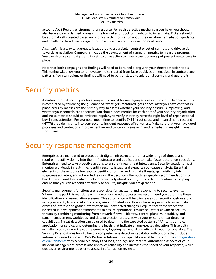account, AWS Region, environment, or resource. For each detective mechanism you have, you should also have a clearly defined process in the form of a runbook or playbook to investigate. Tickets should be automatically created based on findings with information about the deviation, remediation guidance, and deadlines. Tickets are assigned to the resource, account, or environment owner.

A *campaign* is a way to aggregate issues around a particular control or set of controls and drive action towards remediation. Campaigns include the development of campaign metrics to measure progress. You can also use campaigns and tickets to drive action to have account owners put preventive controls in place.

Note that both campaigns and findings will need to be tuned along with your threat detection tools. This tuning will allow you to remove any noise created from false positives or negatives. In contrast, any patterns from campaigns or findings will need to be translated to additional controls and guardrails.

### <span id="page-30-0"></span>Security metrics

A mature internal security metrics program is crucial for managing security in the cloud. In general, this is completed by following the guidance of "what gets measured, gets done". After you have controls in place, security metrics are the primary way to assess whether your security posture is improving, and whether your controls are adequate. You should have metrics for each part of your security organization, and these metrics should be reviewed regularly to verify that they have the right level of organizational buy-in and attention. For example, mean time to identify (MTTI) root cause and mean time to respond (MTTR) provide insights into your security incident response effectiveness. Make sure that you have good processes and continuous improvement around capturing, reviewing, and remediating insights gained from them.

### <span id="page-30-1"></span>Security response management

Enterprises are mandated to protect their digital infrastructure from a wide range of threats and require in-depth visibility into their infrastructure and applications to make faster data-driven decisions. Enterprises need to take proactive actions to ensure timely threat intelligence. Security solutions must monitor workloads in real-time, identify security issues, and expedite root-cause analysis. Essential elements of these tools allow you to Identify, prioritize, and mitigate threats, gain visibility into suspicious activities, and acknowledge risks. The Security Pillar outlines specific recommendations for building your workloads while thinking proactively about security. This is the foundation for helping ensure that you can respond effectively to security insights you are gathering.

Security management functions are responsible for analyzing and responding to security events. Where in the past this was done with human-powered processes, we recommend you automate these identification and remediation systems. This automation will help increase your security posture along with your ability to scale. At cloud scale, use automated workflows wherever possible to investigate events of interest and gather information on unexpected changes. Require that these workflows be tested in development environments to ensure operational resilience. Detect advanced security threats by combining monitoring from network, firewall, identity, control plane, vulnerability and patch management, workloads, and data protection processes with your existing threat detection capabilities. Threat detection can be used to determine the expected pattern of API calls per role, application, or service, and determine the levels that indicate an unexpected deviation. This activity will allow you to maximize your telemetry by layering behavioral analytics with your log analytics. The Security Pillar outlines how to build a comprehensive detective capability with options that include automated remediation and AWS Partner solutions. This capability is enabled through the [configuration](https://docs.aws.amazon.com/wellarchitected/latest/security-pillar/configure.html) of [environments](https://docs.aws.amazon.com/wellarchitected/latest/security-pillar/configure.html) with centralized analysis of logs, findings, and metrics. Automating aspects of your incident management process also improves reliability and increases the speed of your response, which creates an environment easier to assess in after-action reviews.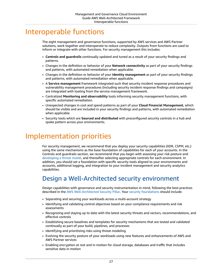# <span id="page-31-0"></span>Interoperable functions

The eight management and governance functions, supported by AWS services and AWS Partner solutions, work together and interoperate to reduce complexity. Outputs from functions are used to inform or integrate with other functions. For security management this includes:

- **Controls and guardrails** continually updated and tuned as a result of your security findings and patterns.
- Changes in the definition or behavior of your **Network connectivity** as part of your security findings and patterns, with automated remediation when applicable.
- Changes in the definition or behavior of your **Identity management** as part of your security findings and patterns, with automated remediation when applicable.
- A **Service management** framework integrated such that security incident response procedures and vulnerability management procedures (including security incident response findings and campaigns) are integrated with tooling from the service management framework.
- Centralized **Monitoring and observability** tools informing security management functions, with specific automated remediation.
- Unexpected changes in cost and spend patterns as part of your **Cloud Financial Management**, which should be visible and are included in your security findings and patterns, with automated remediation when applicable.
- Security tools which are **Sourced and distributed** with preconfigured security controls in a hub and spoke pattern across your environments.

# <span id="page-31-1"></span>Implementation priorities

For security management, we recommend that you deploy your security capabilities (XDR, CSPM, etc.) using the same mechanisms as the base foundation of capabilities for each of your accounts. In the Controls and guardrails section, we recommend that you begin with assessing your risk posture and [developing](http://aws.amazon.com/blogs/security/how-to-approach-threat-modeling/) a threat model, and thereafter selecting appropriate controls for each environment. In addition, you should set a foundation with specific security tools aligned to your environments and accounts, additional logging, and integration to your incident management and security analytics capabilities.

#### <span id="page-31-2"></span>Design a Well-Architected security environment

Design capabilities with governance and security instrumentation in mind, following the best practices described in the AWS [Well-Architected](https://docs.aws.amazon.com/wellarchitected/latest/security-pillar/welcome.html) Security Pillar. Your security [foundations](https://docs.aws.amazon.com/wellarchitected/latest/framework/a-sec-security.html) should include:

- Separating and securing your workloads across a multi-account strategy
- Identifying and validating control objectives based on your compliance requirements and risk assessments
- Recognizing and staying up to date with the latest security threats and vectors, recommendations, and effective controls
- Establishing secure baselines and templates for security mechanisms that are tested and validated continually as part of your build, pipelines, and processes
- Identifying and prioritizing risks using threat modeling
- Evolving the security posture of your workloads using new features and enhancements of AWS and AWS Partner services
- Enabling encryption at rest and in motion for cloud storage, databases and traffic that includes sensitive data in motion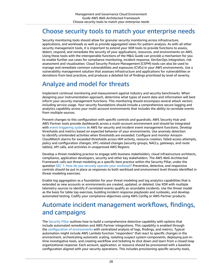#### <span id="page-32-0"></span>Choose security tools to match your enterprise needs

Security monitoring tools should allow for granular security monitoring across infrastructure, applications, and workloads as well as provide aggregated views for pattern analysis. As with all other security management tools, it is important to extend your XDR tools to provide functions to assess, detect, respond, and remediate the security of your applications, resources, and environments on AWS. Using these tools with the interoperable functions of the M&G Guide can provide a mechanism for you to enable further use cases for compliance monitoring, incident response, DevSecOps integration, risk assessment and visualization. Cloud Security Posture Management (CSPM) tools can also be used to manage and remediate common vulnerabilities and exposures (CVEs) in your AWS environments. Use a vulnerability management solution that assesses infrastructure and applications for vulnerabilities or deviations from best practices, and produces a detailed list of findings prioritized by level of severity.

#### <span id="page-32-1"></span>Analyze and model for threats

Implement continual monitoring and measurement against industry and security benchmarks. When designing your instrumentation approach, determine what types of event data and information will best inform your security management functions. This monitoring should encompass several attack vectors including service usage. Your security foundations should include a comprehensive secure logging and analytics capability across your multi-account environments that includes the ability to correlate events from multiple sources.

Prevent changes to this configuration with specific controls and guardrails. AWS Security Hub and AWS Partner tools provide dashboards across a multi-account environment and should be integrated with [event-triggering](http://aws.amazon.com/solutions/implementations/aws-security-hub-automated-response-and-remediation/) systems in AWS for security and incident event management functions. Develop thresholds and metrics based on expected behavior of your environments. Use anomaly detection to identify unintended activities when thresholds are exceeded. Configure and monitor Amazon CloudWatch alarms for exceeded thresholds across IAM activity, resource creation, failed access attempts, policy and configuration changes, VPC-related changes (security groups, NACLs, gateways, and route tables), API calls, and activities in unapproved AWS Regions.

Develop a threat modeling practice to engage with business stakeholders, cloud infrastructure architects, compliance, application developers, security and other key stakeholders. The AWS Well-Architected Framework calls out threat modeling as a specific best practice within the Security Pillar, under the question SEC 1: How do you securely operate your [workload?](https://docs.aws.amazon.com/wellarchitected/latest/framework/a-sec-security.html) Preventive, detective, and responsive controls should be put in place as responses to both workload and environment level threats identified in threat modeling exercises.

Enable log aggregation as a foundation for your threat modeling and log analytics capabilities that is extended as new accounts or environments are created, updated, or deleted. Use XDR with multiple telemetry sources to identify if correlated events qualify as recordable incidents. Use the threat model as the basis for table top exercises, building incident response playbooks and runbooks, and develop automated testing. Codify your compliance objectives using AWS Config or AWS Partner products.

#### <span id="page-32-2"></span>Automate incident management workflows, findings, and campaigns

The [Security](https://docs.aws.amazon.com/wellarchitected/latest/security-pillar/welcome.html) Pillar outlines how to build a comprehensive detective capability with options that include automated remediation and AWS Partner integrations. This capability is enabled through the configuration of [environments](https://docs.aws.amazon.com/wellarchitected/latest/security-pillar/configure.html) with centralized analysis of logs, findings, and metrics. Typical automation might include AWS Lambda function "responders" that react to specific changes in the environment, orchestrating automatic scaling, isolating suspect system components, deploying just-intime investigative tools, and creating workflow and ticketing to shut down and learn from a closed loop organizational response. Each account, application, or resource should be provisioned with a baseline configuration aligned with your security operations. This includes provisioning specific security tools,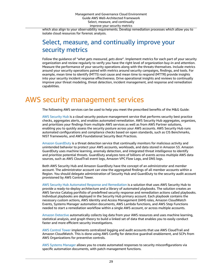which also align to your observability requirements. Develop remediation processes which allow you to isolate cloud resources for forensic analysis.

#### <span id="page-33-0"></span>Select, measure, and continually improve your security metrics

Follow the guidance of "*what gets measured, gets done*". Implement metrics for each part of your security organization and review regularly to verify you have the right level of organization buy-in and attention. Measure the performance of your security operations along with the threats themselves. Include metrics around your security operations paired with metrics around security campaigns, findings, and tools. For example, mean time to identify (MTTI) root cause and mean time to respond (MTTR) provide insights into your security incident response effectiveness. Drive operational insights and reviews to continually improve your threat modeling, threat detection, incident management, and response and remediation capabilities.

# <span id="page-33-1"></span>AWS security management services

The following AWS services can be used to help you meet the prescribed benefits of the M&G Guide:

AWS [Security](http://aws.amazon.com/security-hub/) Hub is a cloud security posture management service that performs security best practice checks, aggregates alerts, and enables automated remediation. AWS Security Hub aggregates, organizes, and prioritizes your findings from multiple AWS services as well as from AWS Partner solutions, enabling you to quickly assess the security posture across your AWS accounts. AWS Security Hub runs automated configurations and compliance checks based on open standards, such as CIS Benchmarks, NIST frameworks, and AWS Foundational Security Best Practices.

Amazon [GuardDuty](http://aws.amazon.com/guardduty/) is a threat detection service that continually monitors for malicious activity and unintended behavior to protect your AWS accounts, workloads, and data stored in Amazon S3. Amazon GuardDuty uses machine learning, anomaly detection, and integrated threat intelligence to identify and prioritize potential threats. GuardDuty analyzes tens of billions of events across multiple AWS data sources, such as AWS CloudTrail event logs, Amazon VPC Flow Logs, and DNS logs.

Both AWS Security Hub and Amazon GuardDuty have the concept of an *administrator* and *member* account. The administrator account can view the aggregated findings of all member accounts within a Region. You should delegate administration of Security Hub and GuardDuty to the security audit account provisioned by AWS Control Tower.

AWS Security Hub Automated Response and [Remediation](http://aws.amazon.com/solutions/implementations/aws-security-hub-automated-response-and-remediation/) is a solution that uses AWS Security Hub to provide a ready-to-deploy architecture and a library of automated playbooks. The solution creates an AWS Service Catalog portfolio of predefined security response and remediation actions called playbooks. Individual playbooks are deployed in the Security Hub primary account. Each playbook contains the necessary custom actions, AWS Identity and Access Management (IAM) roles, Amazon CloudWatch Events, Systems Manager automation documents, AWS Lambda functions, and AWS Step Functions needed to start a remediation workflow within a single AWS account, or across multiple accounts.

Amazon [Detective](http://aws.amazon.com/detective/) automatically collects log data from your AWS resources and uses machine learning, statistical analysis, and graph theory to build a linked set of data that enables you to easily conduct faster and more efficient security investigations.

AWS [Control](http://aws.amazon.com/controltower/) Tower implements centralized logging and audit accounts that use AWS CloudTrail and Amazon CloudWatch. This is done using AWS Config for detective guardrail enablement, and SCPs from AWS Organizations for preventive controls.

AWS Systems [Manager](http://aws.amazon.com/systems-manager/) allows you to create automated responses to security misconfigurations via specific automation documents, with patch management functions.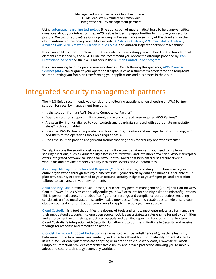Using automated reasoning [technology](http://aws.amazon.com/security/provable-security/) (the application of mathematical logic to help answer critical questions about your infrastructure), AWS is able to identify opportunities to improve your security posture. We call this *provable security* providing higher assurance in security of the cloud and in the cloud. Automated reasoning capabilities include IAM Access [Analyzer,](http://aws.amazon.com/iam/features/analyze-access/) VPC [Reachability](https://docs.aws.amazon.com/vpc/latest/reachability/what-is-reachability-analyzer.html) Analyzer, Amazon [CodeGuru](http://aws.amazon.com/codeguru/), [Amazon](http://aws.amazon.com/s3/features/block-public-access/) S3 Block Public Access, and Amazon Inspector network reachability.

If you would like support implementing this guidance, or assisting you with building the foundational elements prescribed by the M&G Guide, we recommend you review the offerings provided by [AWS](http://aws.amazon.com/professional-services/) [Professional](http://aws.amazon.com/professional-services/) Services or the AWS Partners in the Built on Control Tower [program.](http://aws.amazon.com/controltower/partners/)

If you are seeking help to operate your workloads in AWS following this guidance, AWS [Managed](http://aws.amazon.com/managed-services/) [Services](http://aws.amazon.com/managed-services/) (AMS) can augment your operational capabilities as a short-term accelerator or a long-term solution, letting you focus on transforming your applications and businesses in the cloud.

### <span id="page-34-0"></span>Integrated security management partners

The M&G Guide recommends you consider the following questions when choosing an AWS Partner solution for security management functions:

- Is the solution from an AWS Security Competency Partner?
- Does the solution support multi-account, and work across all your required AWS Regions?
- Are security findings aligned to your controls and guardrails surfaced with appropriate remediation steps? Is this auditable?
- Does the AWS Partner incorporate new threat vectors, maintain and manage their own findings, and add them to the operations tools on a regular basis?
- Does the solution provide analysis and troubleshooting tools for security operations teams?

To help improve the security posture across a multi-account environment, you need to implement security functions, such as vulnerability assessment, firewalls, and intrusion prevention. AWS Marketplace offers integrated software solutions for AWS Control Tower that help enterprises secure diverse workloads and provide broader visibility into assets, events and vulnerabilities.

Alert Logic Managed [Detection](http://aws.amazon.com/marketplace/solutions/control-tower/security/#AlertLogic) and Response (MDR) is always on, providing protection across your entire organization through five key elements: intelligence driven by data and humans, a scalable MDR platform, security experts named to your account, security insights at your fingertips, and protection tailored to each asset in your environments.

Aqua [Security](http://aws.amazon.com/marketplace/solutions/control-tower/security/#AquaSecurity) SaaS provides a SaaS-based, cloud security posture management (CSPM) solution for AWS Control Tower. Aqua CSPM continually audits your AWS accounts for security risks and misconfigurations. This is performed across hundreds of configuration settings and compliance best practices, enabling consistent, unified multi-account security. It also provides self-securing capabilities to help ensure your cloud accounts do not drift out of compliance by applying a policy-driven approach.

[Cloud Custodian](http://aws.amazon.com/security-hub/partners/) is a tool that unifies the dozens of tools and scripts most enterprises use for managing their public cloud accounts into one open source tool. It uses a stateless rules engine for policy definition and enforcement, with metrics, structured outputs and detailed reporting for clouds infrastructure. Cloud Custodian's integration with Security Hub allows it to both send findings to Security and receive findings for response and remediation actions.

[Crowdstrike](http://aws.amazon.com/marketplace/solutions/control-tower/security/#CrowdStrike) Falcon Endpoint Protection uses advanced artificial intelligence (AI), machine learning, behavioral protection, kernel level visibility and proactive threat hunting to identify potential attacks in real time. For enterprises who are adopting or migrating to cloud workloads, CrowdStrike Falcon Endpoint Protection provides comprehensive visibility and breach protection allowing you to rapidly adopt and secure technology across any workload.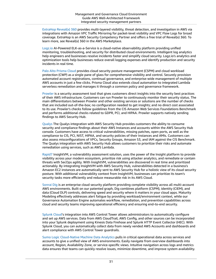[ExtraHop](http://aws.amazon.com/marketplace/solutions/control-tower/network-orchestration/#ExtraHop) Reveal(x) 360 provides multi-layered visibility, threat detection, and investigation in AWS via integrations with Amazon VPC Traffic Mirroring for packet-level visibility and VPC Flow Logs for broad coverage. ExtraHop is an AWS Security Competency Partner and offers a free trial of Reveal(x) 360. To learn more, see Reveal(x) 360 in the AWS Marketplace.

[Logz.io](http://aws.amazon.com/marketplace/solutions/control-tower/siem/#Logz.io) AI-Powered ELK-as-a-Service is a cloud-native observability platform providing unified monitoring, troubleshooting, and security for distributed cloud environments. Intelligent log analytics help engineers and businesses resolve incidents faster and simplify cloud security. Logz.io's analytics and optimization tools help businesses reduce overall logging expenses and identify production and security incidents in real time.

Palo Alto [Prisma](http://aws.amazon.com/marketplace/solutions/control-tower/security/#Palo_Alto) Cloud provides cloud security posture management (CSPM) and cloud workload protection (CWP) as a single pane of glass for comprehensive visibility and control. Securely provision automated account registrations, continual governance, and enterprise-wide management of multiple AWS accounts in just a few clicks. Prisma Cloud also extends cloud automation to integrated Lambda serverless remediation and manages it through a common policy and governance framework.

[Prowler](http://aws.amazon.com/security-hub/partners/) is a security assessment tool that gives customers direct insights into the security best practices of their AWS infrastructure. Customers can run Prowler to continuously monitor their security status. The main differentiators between Prowler and other existing services or solutions are the number of checks that are included out-of-the-box; no configuration needed to get insights; and no direct cost associated to its use. Prowler's checks follow guidelines from the CIS Amazon Web Services Foundations Benchmark and performs additional checks related to GDPR, PCI, and HIPAA. Prowler supports natively sending findings to AWS Security Hub.

[Qualys](http://aws.amazon.com/security-hub/partners/) The Qualys integration with AWS Security Hub provides customers the ability to consume security and compliance findings about their AWS Instances and accounts within the AWS Security Hub console. Customers have access to critical vulnerabilities, missing patches, open ports, as well as the compliance to CIS, PCI, NIST, HIPAA, and security policies of their Instances and AMIs. Customers can also assess misconfigurations of VPCs, Security Groups, Amazon S3, and IAM against the CIS Benchmark. The Qualys integration with AWS Security Hub allows customers to prioritize their risks and automate remediation using services, such as AWS Lambda.

[Rapid7](http://aws.amazon.com/security-hub/partners/) InsightVM, a vulnerability assessment solution, uses the power of the Insight platform to provide visibility across your modern ecosystem, prioritize risk using attacker analytics, and remediate or contain threats with SecOps agility. With InsightVM, vulnerabilities are discovered in real time and prioritized actionably. By integrating InsightVM with AWS Security Hub, vulnerabilities detected in a business's Amazon EC2 instances are automatically sent to AWS Security Hub for a holistic view of its cloud security posture. With additional vulnerability context from InsightVM, businesses can prioritize its team's security tasks more efficiently and reduce measurable risk in its AWS Cloud.

[Sonrai Dig](http://aws.amazon.com/marketplace/solutions/control-tower/security/#Sonrai_Security) is an enterprise cloud security platform providing complete visibility across all multi-account AWS environments. Built on our patented graph, Dig combines platform (CSPM), identity (CIEM), and data (Cloud DLP) controls, delivering speed and security where it matters in your cloud apps. Maturity Modeling effectively addresses alert fatigue by providing workload/environment context, while our Governance Automation Engine automates workflow, remediation, and prevention capabilities across cloud and security teams improving operational efficiency and ensuring end-to-end security.

[Splunk Cloud'](http://aws.amazon.com/marketplace/solutions/control-tower/siem/#Splunk)s integration into AWS Control Tower allows administrators to automatically configure and set up AWS services. Data from AWS CloudTrail, AWS Config, and other sources can be incorporated into your Splunk deployment using Kinesis Data Firehose and Splunk HTTP Event Collector (HEC). With Splunk Cloud, you can automatically collect data from newly vended AWS Accounts and dashboards and alert compliance with AWS Control Tower guardrails.

Sumo Logic [Cloud-Native](http://aws.amazon.com/marketplace/solutions/control-tower/siem/#SumoLogic) Machine Data Analytics pulls in critical operational data across services and accounts to give a unified view of AWS environments. Easily navigate from overview dashboards into account, Region, Availability Zone, or service-specific views. Intuitive navigation across logs and metrics data ensures that teams can quickly resolve issues, minimize downtime, and improve system availability.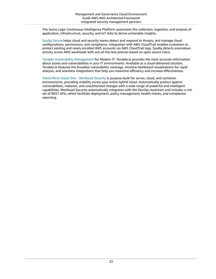The Sumo Logic Continuous Intelligence Platform automates the collection, ingestion, and analysis of application, infrastructure, security, and IoT data to derive actionable insights.

Sysdig [Secure](http://aws.amazon.com/marketplace/solutions/control-tower/operational-intelligence/#Sysdig) helps cloud and security teams detect and respond to threats, and manage cloud configurations, permissions, and compliance. Integration with AWS CloudTrail enables customers to protect existing and newly enrolled AWS accounts via AWS CloudTrail logs. Sysdig detects anomalous activity across AWS workloads with out-of-the-box policies based on open source Falco.

Tenable Vulnerability [Management](http://aws.amazon.com/marketplace/solutions/control-tower/security/#Tenable) for Modern IT, Tenable.io provides the most accurate information about assets and vulnerabilities in your IT environments. Available as a cloud-delivered solution, Tenable.io features the broadest vulnerability coverage, intuitive dashboard visualizations for rapid analysis, and seamless integrations that help you maximize efficiency and increase effectiveness.

Trend Micro Cloud One - [Workload](http://aws.amazon.com/marketplace/solutions/control-tower/security/#TrendMicro) Security is purpose-built for server, cloud, and container environments, providing visibility across your entire hybrid cloud. Automatically protect against vulnerabilities, malware, and unauthorized changes with a wide range of powerful and intelligent capabilities. Workload Security automatically integrates with the DevOps toolchain and includes a rich set of REST APIs, which facilitate deployment, policy management, health checks, and compliance reporting.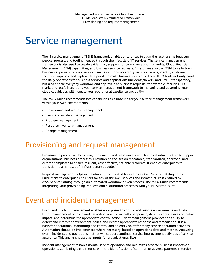# <span id="page-37-0"></span>Service management

The IT service management (ITSM) framework enables enterprises to align the relationship between people, process, and tooling needed through the lifecycle of IT services. The service management framework is also used to create evidentiary support for compliance and risk audits, Cloud Financial Management (CFM) capabilities, and business service requests. Enterprises also use ITSM tools to track business approvals, capture service issue resolutions, inventory technical assets, identify customer technical inquiries, and capture data points to make business decisions. These ITSM tools not only handle the daily operations for business services and applications (incidents/tickets, and CMDB transparency) but also enable everyday workflow and approvals of business requests (for example, facilities, HR, marketing, etc.). Integrating your service management framework to managing and governing your cloud capabilities will increase your operational excellence and agility.

The M&G Guide recommends five capabilities as a baseline for your service management framework within your AWS environments:

- Provisioning and request management
- Event and incident management
- Problem management
- Resource inventory management
- Change management

# <span id="page-37-1"></span>Provisioning and request management

Provisioning procedures help plan, implement, and maintain a stable technical infrastructure to support organizational business processes. Provisioning focuses on repeatable, standardized, approved, and curated templates to ensure resilient, cost effective, scalable resources. It enables enterprises to transition to a mindset of "infrastructure as code."

Request management helps in maintaining the curated templates as AWS Service Catalog items. Fulfillment to enterprise end users for any of the AWS services and infrastructure is ensured by AWS Service Catalog through an automated workflow-driven process. The M&G Guide recommends integrating your provisioning, request, and distribution processes with your ITSM tool suite.

### <span id="page-37-2"></span>Event and incident management

Event and incident management enables enterprises to control and restore environments and data. Event management helps in understanding what is currently happening, detect events, assess potential impact, and determine the appropriate control action. Event management provides the ability to detect and interpret environment issues, and initiate appropriate response and remediation. It is a basis for operational monitoring and control and an entry point for many service operation activities. Automation should be implemented where necessary, based on operations data and metrics. Analyzing event, incident, and operations metrics will support continual service improvement activities of service assurance. This analysis is used as inputs for organizational SLAs.

Incident management restores normal service operation and minimizes adverse business impacts on operations. Combining trend metrics with the identification of common or adverse patterns in service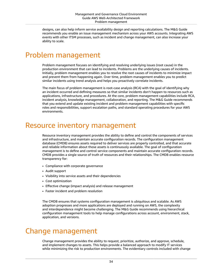designs, can also help inform service availability design and reporting calculations. The M&G Guide recommends you enable an issue management mechanism across your AWS accounts. Integrating AWS events with other ITSM processes, such as incident and change management, can also increase your ability to scale.

#### <span id="page-38-0"></span>Problem management

Problem management focuses on identifying and resolving underlying issues (root cause) in the production environment that can lead to incidents. Problems are the underlying causes of incidents. Initially, problem management enables you to resolve the root causes of incidents to minimize impact and prevent them from happening again. Over time, problem management enables you to predict similar incidents using trend analysis and helps you proactively correlate incidents.

The main focus of problem management is root-case analysis (RCA) with the goal of identifying why an incident occurred and defining measures so that similar incidents don't happen to resources such as applications, infrastructure, and procedures. At the core, problem management capabilities include RCA, incident analysis, knowledge management, collaboration, and reporting. The M&G Guide recommends that you extend and update existing incident and problem management capabilities with specific roles and responsibilities, support escalation paths, and standard operating procedures for your AWS environments.

### <span id="page-38-1"></span>Resource inventory management

Resource inventory management provides the ability to define and control the components of services and infrastructure, and maintain accurate configuration records. The configuration management database (CMDB) ensures assets required to deliver services are properly controlled, and that accurate and reliable information about those assets is continuously available. The goal of configuration management is to define and control service components and maintain accurate configuration records. CMDB provides a single source of truth of resources and their relationships. The CMDB enables resource transparency for:

- Compliance with corporate governance
- Audit support
- Visibility into service assets and their dependencies
- Cost optimization
- Effective change (impact analysis) and release management
- Faster incident and problem resolution

The CMDB ensures that systems configuration management is ubiquitous and scalable. As AWS adoption progresses and more applications are deployed and running on AWS, the complexity and interdependence might become challenging. The M&G Guide recommends using hierarchical configuration management tools to help manage configurations across account, environment, stack, application, and versions.

#### <span id="page-38-2"></span>Change management

Change management provides the ability to request, prioritize, authorize, and approve, schedule, and implement changes to assets. This helps provide a balanced approach to modify IT services while minimizing the risk to production environments. The evidentiary controls included with change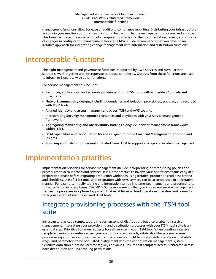management functions allow for ease of audit and compliance reporting. Distributing your infrastructure as code in your multi-account framework should be part of change management processes and approval. This basis facilitates the automation of changes and provides for the documentation, review, and storage of changes in configuration management tools. The M&G Guide recommends that you develop an iterative approach for integrating change management with automation and distribution functions.

### <span id="page-39-0"></span>Interoperable functions

The eight management and governance functions, supported by AWS services and AWS Partner solutions, work together and interoperate to reduce complexity. Outputs from these functions are used to inform or integrate with other functions.

For service management this includes:

- Resources, applications, and accounts provisioned from ITSM tools with embedded **Controls and guardrails**.
- **Network connectivity** designs, including boundaries and isolation, provisioned, updated, and recorded with ITSM tools.
- Aligned **Identity and access management** across ITSM and AWS tooling.
- Incorporating **Security management** runbooks and playbooks with your service management framework.
- Aggregating **Monitoring and observability** findings alongside incident management frameworks within ITSM.
- ITSM capabilities and configuration libraries aligned to **Cloud Financial Management** reporting and insights.
- **Sourcing and distribution** requests initiated from ITSM to support change and incident management.

# <span id="page-39-1"></span>Implementation priorities

Implementation priorities for service management include incorporating or establishing policies and procedures to account for cloud services. It is a best practice to involve your operations teams early in a preparation phase before migrating production workloads using iterative production readiness criteria and checklists. Use of ITSM tools and integration with AWS services can be accomplished in an iterative manner. For example, initially tooling and integration can be implemented manually and progressing to full automation in later phases. The M&G Guide recommends that you implement service management framework processes in a phased approach that establishes a cloud operational baseline and connects with your system of record declared ITSM tools.

#### <span id="page-39-2"></span>Integrate provisioning processes with the ITSM tool suite

Infrastructure as code templates are the cornerstone of distribution, but also enable full service management. Integrating your provisioning and distribution processes with your ITSM tool suite is an essential step. Prioritize common requests for self-service in your ITSM tool. When creating a service template naming convention across your accounts and workloads, establish a lifecycle management process using approvals and standard workflow processes. Build templates with operational metadata (tags) and parameters to be populated in alignment with the configuration management system. Sensitive data should not be used for tag keys or values. Ensure that template access is enforced across both distribution and ITSM tooling permissions.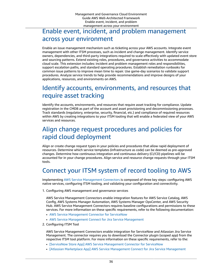#### <span id="page-40-0"></span>Enable event, incident, and problem management across your environment

Enable an issue management mechanism such as ticketing across your AWS accounts. Integrate event management with other ITSM processes, such as incident and change management. Identify service owners, dependencies, and third-party integrations required to scale effectively with updated event store and sourcing patterns. Extend existing roles, procedures, and governance activities to accommodate cloud scale. This extension includes: incident and problem management roles and responsibilities, support escalation paths, and standard operating procedures. Establish remediation runbooks for common issue patterns to improve mean time to repair. Use game-day scenarios to validate support procedures. Analyze service trends to help provide recommendations and improve designs of your applications, resources, and environments on AWS.

#### <span id="page-40-1"></span>Identify accounts, environments, and resources that require asset tracking

Identify the accounts, environments, and resources that require asset tracking for compliance. Update registration in the CMDB as part of the account and asset provisioning and decommissioning processes. Track standards (regulatory, enterprise, security, financial, etc.) and compliance of required resources within AWS by creating integrations to your ITSM tooling that will enable a federated view of your AWS services and resources.

#### <span id="page-40-2"></span>Align change request procedures and policies for rapid cloud deployment

Align or create change request types in your policies and procedures that allow rapid deployment of resources. Determine which service templates (infrastructure as code) can be deemed as pre-approved changes. Determine how continuous integration and continuous delivery (CI/CD) pipelines will be accounted for in your change procedures. Align service and resource change requests through your ITSM tools.

### <span id="page-40-3"></span>Connect your ITSM system of record tooling to AWS

Implementing AWS Service [Management](https://docs.aws.amazon.com/servicecatalog/latest/adminguide/integrations-servicenow.html) Connectors is composed of three key steps: configuring AWS native services, configuring ITSM tooling, and validating your configuration and connectivity.

1. Configuring AWS management and governance services

AWS Service Management Connectors enable integration features for AWS Service Catalog, AWS Config, AWS Systems Manager Automation, AWS Systems Manager OpsCenter, and AWS Security Hub. AWS Service Management Connectors requires baseline configurations and permissions to these services. For more information on these specific requirements, refer to the following documentation:

- AWS Service [Management](https://docs.aws.amazon.com/servicecatalog/latest/adminguide/integrations-servicenow.html) Connector for ServiceNow
- AWS Service [Management](https://docs.aws.amazon.com/servicecatalog/latest/adminguide/integrations-jiraservicedesk.html) Connect for Jira Service Management
- 2. Configuring ITSM Tool

AWS Service Management Connectors enable integration for ServiceNow and Atlassian Jira Service Management. The connector requires you to download the Connector plugin (scoped app) from the respective ITSM tool platform. For more information on these specific requirements, refer to the:

- [ServiceNow Store App] AWS Service [Management](https://store.servicenow.com/sn_appstore_store.do#!/store/application/f0b117a3db32320093a7d7a0cf961912/) Connector for ServiceNow
- [Atlassian Marketplace App] AWS Service [Management](https://marketplace.atlassian.com/1221283) Connect for Jira Service Management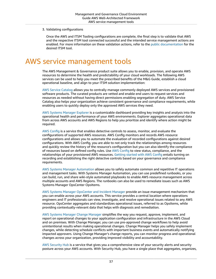3. Validating configurations

Once the AWS and ITSM Tooling configurations are complete, the final step is to validate that AWS and the respective ITSM tool connected successful and the intended service management actions are enabled. For more information on these validation actions, refer to the [public documentation](https://docs.aws.amazon.com/servicecatalog/latest/adminguide/integrations.html) for the desired ITSM tool.

# <span id="page-41-0"></span>AWS service management tools

The AWS Management & Governance product suite allows you to enable, provision, and operate AWS resources to determine the health and predictability of your cloud workloads. The following AWS services can be used to help you meet the prescribed benefits of the M&G Guide, establish a cloud operational baseline, and align to your ITSM solution implementation:

AWS Service [Catalog](http://aws.amazon.com/servicecatalog/) allows you to centrally manage commonly deployed AWS services and provisioned software products. The curated products are vetted and enable end users to request services and resources as needed without having direct permissions enabling segregation of duty. AWS Service Catalog also helps your organization achieve consistent governance and compliance requirements, while enabling users to quickly deploy only the approved AWS services they need.

AWS Systems [Manager](http://aws.amazon.com/systems-manager/features/) Explorer is a customizable dashboard providing key insights and analysis into the operational health and performance of your AWS environments. Explorer aggregates operational data from across AWS accounts and AWS Regions to help you prioritize and identify where action might be required.

AWS [Config](http://aws.amazon.com/config) is a service that enables detective controls to assess, monitor, and evaluate the configurations of supported AWS resources. AWS Config monitors and records AWS resource configurations and allows you to automate the evaluation of recorded configurations against desired configurations. With AWS Config, you are able to not only track the relationships among resources and quickly review the history of the resource's configuration but you can also identify the compliance of resources based on defined config rules. Use AWS [Config](http://aws.amazon.com/config) to view status, compliance, and the relationships of your provisioned AWS resources. [Getting](https://docs.aws.amazon.com/config/latest/developerguide/getting-started.html) started with AWS Config entails turning on recording and establishing the right detective controls based on your governance and compliance requirements.

AWS Systems Manager [Automation](https://docs.aws.amazon.com/systems-manager/latest/userguide/systems-manager-automation.html) allows you to safely automate common and repetitive IT operations and management tasks. With Systems Manager Automation, you can use predefined runbooks, or you can build, run, and share wiki-style automated playbooks to enable AWS resource management across multiple accounts and AWS Regions. The runbooks can also be used to remediate issues such as AWS Systems Manager OpsCenter OpsItems.

AWS Systems Manager [OpsCenter](https://docs.aws.amazon.com/systems-manager/latest/userguide/OpsCenter-getting-started.html) and Incident Manager provide an issue management mechanism that you can enable across your AWS accounts. This service provides a central location where operations engineers and IT professionals can view, investigate, and resolve operational issues related to any AWS resource. OpsCenter aggregates and standardizes operational issues, referred to as OpsItems, while providing contextually-relevant data that helps with diagnosis and remediation.

AWS Systems Manager Change [Manager](http://aws.amazon.com/systems-manager/features/) simplifies the way you request, approve, implement, and report on operational changes to your application configuration and infrastructure in the AWS Cloud and on premises. With Change Manager, you can use pre-approved change workflows to help avoid unintentional results when making operational changes. Change Manager helps you safely implement changes, while detecting schedule conflicts with important business events and automatically notifying impacted approvers. Using Change Manager's change reports, you can monitor progress and operational changes across your organization, providing improved visibility and accountability.

AWS [Security](http://aws.amazon.com/security-hub/) Hub is a service that gives you a comprehensive view of your security alerts and security posture across your AWS accounts. With Security Hub, you have a single place that aggregates, organizes,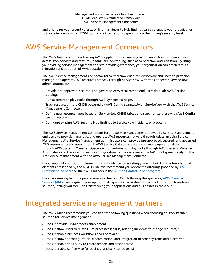and prioritizes your security alerts, or findings. Security Hub findings can also enable your organization to create incidents within ITSM tooling via integrations depending on the finding's severity level.

# <span id="page-42-0"></span>AWS Service Management Connectors

The M&G Guide recommends using AWS-supplied service management connectors that enable you to access AWS services and features in familiar ITSM tooling, such as ServiceNow and Atlassian. By using your existing service management tools to provide governance, your organization can accelerate its migration and adoption of AWS at scale.

The AWS Service Management Connector for ServiceNow enables ServiceNow end users to provision, manage, and operate AWS resources natively through ServiceNow. With the connector, ServiceNow administrators can:

- Provide pre-approved, secured, and governed AWS resources to end users through AWS Service Catalog.
- Run automation playbooks through AWS Systems Manager.
- Track resources in the CMDB powered by AWS Config seamlessly on ServiceNow with the AWS Service Management Connector.
- Define new resource types based on ServiceNow CMDB tables and synchronize these with AWS Config custom resources.
- Configure syncing AWS Security Hub findings to ServiceNow incidents or problems.

The AWS Service Management Connector for Jira Service Management allows Jira Service Management end users to provision, manage, and operate AWS resources natively through Atlassian's Jira Service Management. Jira Service Management administrators can provide pre-approved, secured, and governed AWS resources to end users through AWS Service Catalog, create and manage operational items through AWS Systems Manager OpsCenter, run automation playbooks through AWS Systems Manager Automation and track resources in a configuration item view powered by AWS Config seamlessly on the Jira Service Management with the AWS Service Management Connector.

If you would like support implementing this guidance, or assisting you with building the foundational elements prescribed by the M&G Guide, we recommend you review the offerings provided by [AWS](http://aws.amazon.com/professional-services/) [Professional](http://aws.amazon.com/professional-services/) Services or the AWS Partners in the Built on Control Tower [program.](http://aws.amazon.com/controltower/partners/)

If you are seeking help to operate your workloads in AWS following this guidance, AWS [Managed](http://aws.amazon.com/managed-services/) [Services](http://aws.amazon.com/managed-services/) (AMS) can augment your operational capabilities as a short-term accelerator or a long-term solution, letting you focus on transforming your applications and businesses in the cloud.

### <span id="page-42-1"></span>Integrated service management partners

The M&G Guide recommends you consider the following questions when choosing an AWS Partner solution for service management:

- Does it provide ITSM process enablement?
- Does it allow users to relate ITSM processes (that is, relating incidents to change requests)?
- Does it enable business workflows and approvals?
- Does it allow for configuration, customization, and integration to other systems and platforms?
- Does it enable the ability to create reports and dashboards?
- Does it enable self-service for business and service requests?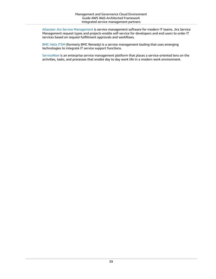Atlassian Jira Service [Management](https://www.atlassian.com/software/jira/service-management/features/service-desk) is service management software for modern IT teams. Jira Service Management request types and projects enable self-service for developers and end users to order IT services based on request fulfillment approvals and workflows.

[BMC Helix ITSM](https://www.bmc.com/it-solutions/remedy-itsm.html) (formerly BMC Remedy) is a service management tooling that uses emerging technologies to integrate IT service support functions.

[ServiceNow](https://www.servicenow.com/) is an enterprise service management platform that places a service-oriented lens on the activities, tasks, and processes that enable day to day work life in a modern work environment.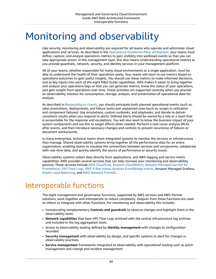# <span id="page-44-0"></span>Monitoring and observability

Like security, monitoring and observability are required for all teams who operate and administer cloud applications and services. As described in the [Operational](https://docs.aws.amazon.com/wellarchitected/latest/operational-excellence-pillar/welcome.html) Excellence Pillar whitepaper, your teams must define, capture, and analyze operations metrics to gain visibility into workload events so that you can take appropriate action. In the management layer, this also means understanding operational metrics as you provide guardrails, network, security, and identity services in your management platform.

All of your teams, whether responsible for many cloud environments or a single application, must be able to understand the health of their operations easily. Your teams will want to use metrics based on operations outcomes to gain useful insights. You should use these metrics to make informed decisions, and as key inputs into each of the eight M&G Guide capabilities. AWS makes it easier to bring together and analyze your operations logs so that you can generate metrics, know the status of your operations, and gain insight from operations over time. These activities are supported centrally when you provide an observability solution for consumption, storage, analysis, and presentation of operational data for analysis.

As described in [Responding](https://docs.aws.amazon.com/wellarchitected/latest/operational-excellence-pillar/responding-to-events.html) to Events, you should anticipate both planned operational events (such as, sales promotions, deployments, and failure tests) and unplanned ones (such as, surges in utilization and component failures). Use simulations, custom runbooks, and playbooks, and iterate to deliver consistent results when you respond to alerts. Defined alerts should be owned by a role or a team that is accountable for the response and escalations. You will also want to know the business impact of your system components and use this to target efforts when needed. Perform a root cause analysis (RCA) after events, and then introduce necessary changes and controls to prevent recurrence of failures or document workarounds.

In many enterprises, technical teams share integrated systems to monitor the services or infrastructure they manage. Shared observability systems bring together all the performance data for an entire organization, enabling teams to visualize the connections between services and components, collaborate with real-time data, and quickly identify the source of performance or security issues.

Observability systems collect data directly from applications, and AWS logging and service metric capabilities. AWS provides several services that can help increase your monitoring and observability posture. These services include AWS [CloudTrail,](http://aws.amazon.com/cloudtrail/) Amazon [CloudWatch,](http://aws.amazon.com/cloudwatch/) Amazon [Managed](http://aws.amazon.com/prometheus/) Service for [Prometheus](http://aws.amazon.com/prometheus/), VPC [Flow](https://docs.aws.amazon.com/vpc/latest/userguide/flow-logs.html) Logs, AWS X-Ray [traces,](http://aws.amazon.com/xray/features/) Amazon [EventBridge](https://docs.aws.amazon.com/eventbridge/latest/userguide/eb-events.html) events, Amazon Managed Grafana, [Elastic Load Balancing,](http://aws.amazon.com/elasticloadbalancing/) and AWS [Network](http://aws.amazon.com/network-firewall/) Firewall.

# <span id="page-44-1"></span>Interoperable functions

The eight management and governance functions, supported by AWS services and AWS Partner solutions, work together and interoperate to reduce complexity. Outputs from these functions are used to inform or integrate with other functions. For monitoring and observability this includes:

- Incorporating complementary **Controls and guardrails** to observe changes and highlight them in the observability tools.
- **Network capabilities** that have VPC Flow Logs archived with the central infrastructure log archives and included in the log aggregation tools.
- Access to observability tooling defined by **Identity management** with changes to configuration recorded.
- **Security management** with observability by design, and specific systems to alert for changes in observability practices.
- **Service management** frameworks integrated to observability with operational tooling such as patch management and change and incident management.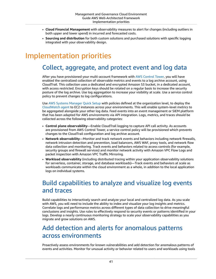- **Cloud Financial Management** with observability measures to alert for changes (including outliers in both upper and lower spend) in incurred and forecasted costs.
- **Sourcing and distribution** for both custom solutions and purchased solutions with specific logging integrated with your observability design.

# <span id="page-45-1"></span><span id="page-45-0"></span>Implementation priorities

#### Collect, aggregate, and protect event and log data

After you have provisioned your multi-account framework with AWS [Control](http://aws.amazon.com/controltower/) Tower, you will have enabled the centralized collection of observable metrics and events to a log archive account, using CloudTrail. This collection uses a dedicated and encrypted Amazon S3 bucket, in a dedicated account, with access restricted. Encryption keys should be rotated on a regular basis to increase the security posture of the log archive. Use log aggregation to increase your visibility at scale. Use a service control policy to prevent changes to log configurations.

Use AWS Systems [Manager](https://docs.aws.amazon.com/systems-manager/latest/userguide/systems-manager-quick-setup.html) Quick Setup with policies defined at the organization level, to deploy the [CloudWatch](https://docs.aws.amazon.com/AmazonCloudWatch/latest/monitoring/Install-CloudWatch-Agent.html) agent to EC2 instances across your environments. This will enable system-level metrics to be aggregated alongside your other log data. Feed events into an event management or SIEM platform that has been adapted for AWS environments via API integration. Logs, metrics, and traces should be collected across the following observability categories:

- **Control plane observability**—Enable CloudTrail logging to capture API call activity. As accounts are provisioned from AWS Control Tower, a service control policy will be provisioned which prevents changes to the CloudTrail configuration and log archive account.
- **Network observability**—Monitor and track network events and behaviors including network firewalls, network intrusion detection and prevention, load balancers, AWS WAF, proxy tools, and network flow data collection and monitoring. Track events and behaviors related to access controls (for example, security groups and firewall services) and monitor network activity with Amazon VPC Flow Logs and packet inspection with Amazon VPC Traffic Mirroring.
- **Workload observability** (including distributed tracing within your application observability solutions for serverless, container, storage, and database workloads)—Track events and behaviors at scale as workloads communicate within the cloud environment as a whole, in addition to the local application logs on individual systems.

#### <span id="page-45-2"></span>Build capabilities to analyze and visualize log events and traces

Build capabilities to interactively search and analyze your local and centralized log data. As you scale with AWS, you will need to include the ability to index and visualize your log insights and metrics. Correlate logs and performance metrics across different types of data collection to drive meaningful conclusions and insights. Use rules to effectively respond to security events or patterns identified in your logs. Develop a nearly continuous monitoring strategy to scale your observability capabilities as you migrate and grow solutions on AWS.

#### <span id="page-45-3"></span>Add detection and alerts for anomalous patterns across environments

Proactively assess environments for known vulnerabilities and add detection for anomalous patterns of events and activities. Monitor for unusual activity or behavior related to users and workloads using tools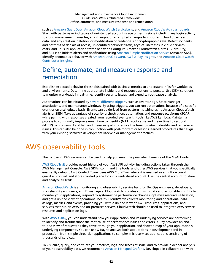such as Amazon [GuardDuty](http://aws.amazon.com/guardduty/), Amazon [CloudWatch](https://docs.aws.amazon.com/AmazonCloudWatch/latest/monitoring/ServiceLens.html) ServiceLens, and Amazon [CloudWatch](https://docs.aws.amazon.com/AmazonCloudWatch/latest/monitoring/CloudWatch_Dashboards.html) dashboards. Start with patterns or indicators of unintended account usage or permissions including any login activity to cloud management consoles, any changes, or attempted changes to important cloud objects and data, and any creation, deletion, or modification of credentials or cryptographic keys. Detect incidents and patterns of denials of access, unidentified network traffic, atypical increases in cloud services costs, and unusual application traffic behavior. Configure Amazon CloudWatch alarms, GuardDuty, and SIEMs to initiate alerts and notifications using Amazon Simple [Notification](http://aws.amazon.com/sns/) Service (Amazon SNS). Identify anomalous behavior with [Amazon](http://aws.amazon.com/devops-guru/) DevOps Guru, AWS X-Ray [Insights,](https://docs.aws.amazon.com/xray/latest/devguide/xray-console-insights.html) and Amazon [CloudWatch](https://docs.aws.amazon.com/AmazonCloudWatch/latest/monitoring/ContributorInsights.html) [Contributor Insights.](https://docs.aws.amazon.com/AmazonCloudWatch/latest/monitoring/ContributorInsights.html)

#### <span id="page-46-0"></span>Define, automate, and measure response and remediation

Establish expected behavior thresholds paired with business metrics to understand KPIs for workloads and environments. Determine appropriate incident and response actions to pursue. Use SIEM solutions to monitor workloads in real-time, identify security issues, and expedite root-cause analysis.

Automations can be initiated by several [different](https://docs.aws.amazon.com/systems-manager/latest/userguide/automation-executing-triggers.html) triggers, such as EventBridge, State Manager associations, and maintenance windows. By using triggers, you can run automations because of a specific event or on a scheduled basis. Events can be derived from pattern matching using Amazon CloudWatch alerts or SIEM. Take advantage of security orchestration, automation, and response platforms (SOAR) while pairing with responses created from recorded events with tools like AWS Lambda. Maintain a process to continually improve mean time to identify (MTTI) root cause and mean time to respond (MTTR) to problems. Establish and measure goals to reduce the time to detect, identify, and remediate issues. This can also be done in conjunction with post-mortem or lessons learned procedures that align with your existing software development lifecycle or management practices.

# <span id="page-46-1"></span>AWS observability tools

The following AWS services can be used to help you meet the prescribed benefits of the M&G Guide:

AWS [CloudTrail](http://aws.amazon.com/cloudtrail/) provides event history of your AWS API activity, including actions taken through the AWS Management Console, AWS SDKs, command line tools, and other AWS services that you specifically enable. By default, AWS Control Tower uses AWS CloudTrail where it is enabled as a multi-account guardrail control, and stores control plane logs in a centralized account. Use the central account to store and analyze all trails.

Amazon [CloudWatch](http://aws.amazon.com/cloudwatch/) is a monitoring and observability service built for DevOps engineers, developers, site reliability engineers, and IT managers. CloudWatch provides you with data and actionable insights to monitor your applications, respond to system-wide performance changes, optimize resource utilization, and get a unified view of operational health. CloudWatch collects monitoring and operational data as logs, metrics, and events, providing you with a unified view of AWS resources, applications, and services that run on AWS and on-premises servers. CloudWatch should be used to integrate AWS service, resource, and application logs.

With AWS [X-Ray](http://aws.amazon.com/xray/), you can understand how your application and its underlying services are performing to identify and troubleshoot the root cause of performance issues and errors. X-Ray provides an endto-end view of requests as they travel through your application, and shows a map of your application's underlying components. You can use X-Ray to analyze both applications in development and in production, from simple three-tier applications to complex microservices applications consisting of thousands of services.

To visualize, query, and correlate your metrics, logs, and traces at scale, and to provide a deeper analysis of your observability data, we recommend Amazon [Managed](http://aws.amazon.com/grafana/) Grafana. Developed in collaboration with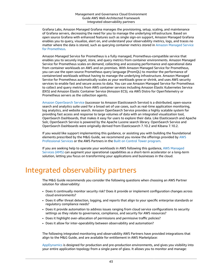Grafana Labs, Amazon Managed Grafana manages the provisioning, setup, scaling, and maintenance of Grafana servers, decreasing the need for you to manage the underlying infrastructure. Based on open source Grafana with enhanced features such as single sign-on support, Amazon Managed Grafana enables you to query, visualize, alert on, and understand your observability metrics, logs, and traces no matter where the data is stored, such as querying container metrics stored in Amazon [Managed](http://aws.amazon.com/prometheus/) Service for [Prometheus.](http://aws.amazon.com/prometheus/)

Amazon Managed Service for Prometheus is a fully managed, Prometheus-compatible service that enables you to securely ingest, store, and query metrics from container environments. Amazon Managed Service for Prometheus scales on demand, collecting and accessing performance and operational data from container workloads on AWS and on premises. With Amazon Managed Service for Prometheus, you can use the open source Prometheus query language (PromQL) to monitor the performance of containerized workloads without having to manage the underlying infrastructure. Amazon Managed Service for Prometheus automatically scales as your workloads grow or shrink, and uses AWS security services to enable fast and secure access to data. You can use Amazon Managed Service for Prometheus to collect and query metrics from AWS container services including Amazon Elastic Kubernetes Service (EKS) and Amazon Elastic Container Service (Amazon ECS), via AWS Distro for OpenTelemetry or Prometheus servers as the collection agents.

Amazon [OpenSearch](http://aws.amazon.com/opensearch-service/the-elk-stack/what-is-opensearch/) Service (successor to Amazon Elasticsearch Service) is a distributed, open-source search and analytics suite used for a broad set of use cases, such as real-time application monitoring, log analytics, and website search. Amazon OpenSearch Service provides a highly scalable system for providing fast access and response to large volumes of data with an integrated visualization tool, OpenSearch Dashboards, that makes it easy for users to explore their data. Like Elasticsearch and Apache Solr, OpenSearch Service is powered by the Apache Lucene search library. OpenSearch Service and OpenSearch Dashboards were originally derived from Elasticsearch 7.10.2 and Kibana 7.10.2.

If you would like support implementing this guidance, or assisting you with building the foundational elements prescribed by the M&G Guide, we recommend you review the offerings provided by [AWS](http://aws.amazon.com/professional-services/) [Professional](http://aws.amazon.com/professional-services/) Services or the AWS Partners in the Built on Control Tower [program.](http://aws.amazon.com/controltower/partners/)

If you are seeking help to operate your workloads in AWS following this guidance, AWS [Managed](http://aws.amazon.com/managed-services/) [Services](http://aws.amazon.com/managed-services/) (AMS) can augment your operational capabilities as a short-term accelerator or a long-term solution, letting you focus on transforming your applications and businesses in the cloud.

# <span id="page-47-0"></span>Integrated observability partners

The M&G Guide recommends you consider the following questions when choosing an AWS Partner solution for observability:

- Does it continually monitor security risk? Does it provide or implement configuration changes across cloud environments?
- Does it offer threat detection, logging, and reports that align to your specific enterprise standards or regulatory compliance needs?
- Does it provide automation to address issues ranging from cloud service configurations to security settings as they relate to governance, compliance, and security for AWS resources?
- Does it highlight over-allocation of permissions and permissive traffic policies?
- Does it allow for inter-operability between observability and automation?

The following integrated monitoring and observability AWS Partners have provided integrations that align to the M&G Guide, and are available for entitlement in AWS Marketplace:

[AppDynamics](http://aws.amazon.com/marketplace/pp/B06Y25R2BW?ref_=srh_res_product_title) is designed for production and pre-production environments, and gives you visibility into your entire application topology from a single pane of glass. It allows you to monitor and manage: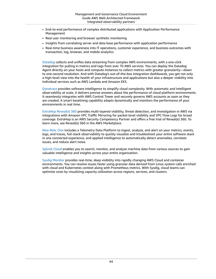- End-to-end performance of complex distributed applications with Application Performance Management
- Real user monitoring and browser synthetic monitoring
- Insights from correlating server and data base performance with application performance
- Real-time business awareness into IT operations, customer experience, and business outcomes with transaction, log, browser, and mobile analytics

[Datadog](http://aws.amazon.com/marketplace/solutions/control-tower/operational-intelligence/#Datadog) collects and unifies data streaming from complex AWS environments, with a one-click integration for pulling in metrics and tags from over 70 AWS services. You can deploy the Datadog Agent directly on your hosts and compute instances to collect metrics with greater granularity—down to one-second resolution. And with Datadog's out-of-the-box integration dashboards, you get not only a high-level view into the health of your infrastructure and applications but also a deeper visibility into individual services such as AWS Lambda and Amazon EKS.

[Dynatrace](http://aws.amazon.com/marketplace/solutions/control-tower/operational-intelligence/#Dynatrace) provides software intelligence to simplify cloud complexity. With automatic and intelligent observability at scale, it delivers precise answers about the performance of cloud platform environments. It seamlessly integrates with AWS Control Tower and securely governs AWS accounts as soon as they are created. A smart baselining capability adapts dynamically and monitors the performance of your environments in real time.

[ExtraHop](http://aws.amazon.com/marketplace/solutions/control-tower/network-orchestration/#ExtraHop) Reveal(x) 360 provides multi-layered visibility, threat detection, and investigation in AWS via integrations with Amazon VPC Traffic Mirroring for packet-level visibility and VPC Flow Logs for broad coverage. ExtraHop is an AWS Security Competency Partner and offers a free trial of Reveal(x) 360. To learn more, see Reveal(x) 360 in the AWS Marketplace.

New [Relic](http://aws.amazon.com/marketplace/solutions/control-tower/operational-intelligence/#NewRelic) One includes a Telemetry Data Platform to ingest, analyze, and alert on your metrics, events, logs, and traces, full-stack observability to quickly visualize and troubleshoot your entire software stack in one connected experience, and applied intelligence to automatically detect anomalies, correlate issues, and reduce alert noise.

[Splunk Cloud](http://aws.amazon.com/marketplace/solutions/control-tower/siem/#Splunk) enables you to search, monitor, and analyze machine data from various sources to gain valuable intelligence and insights across your entire organization.

Sysdig [Monitor](http://aws.amazon.com/marketplace/pp/prodview-dq475uhgg4o6g) provides real-time, deep visibility into rapidly changing AWS Cloud and container environments. You can resolve issues faster using granular data derived from Linux system calls enriched with cloud and Kubernetes context along with Prometheus metrics. With Sysdig, cloud teams can optimize costs by visualizing capacity utilization across regions, services, and clusters.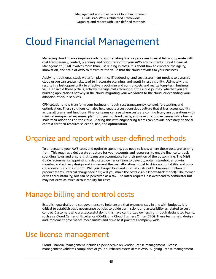# <span id="page-49-0"></span>Cloud Financial Management

Managing cloud finance requires evolving your existing finance processes to establish and operate with cost transparency, control, planning, and optimization for your AWS environments. Cloud Financial Management (CFM) involves more than just reining in costs. It is about how to embrace the agility, innovation, and scale of AWS to maximize the value that the cloud provides to your business.

Applying traditional, static waterfall planning, IT budgeting, and cost assessment models to dynamic cloud usage can create risks, lead to inaccurate planning, and result in less visibility. Ultimately, this results in a lost opportunity to effectively optimize and control costs and realize long-term business value. To avoid these pitfalls, actively manage costs throughout the cloud journey, whether you are building applications natively in the cloud, migrating your workloads to the cloud, or expanding your adoption of cloud services.

CFM solutions help transform your business through cost transparency, control, forecasting, and optimization. These solutions can also help enable a cost-conscious culture that drives accountability across all teams and functions. Finance teams can see where costs are coming from, run operations with minimal unexpected expenses, plan for dynamic cloud usage, and save on cloud expenses while teams scale their adoptions on the cloud. Sharing this with engineering teams can provide necessary financial context for their resource selection, use, and optimization.

# <span id="page-49-1"></span>Organize and report with user-defined methods

To understand your AWS costs and optimize spending, you need to know where those costs are coming from. This requires a deliberate structure for your accounts and resources, to enable finance to track spending flows and ensure that teams are accountable for their portion of the bottom line. The M&G Guide recommends appointing a dedicated owner or team to develop, obtain stakeholder buy-in, monitor, and actively design and implement the cost allocation model to drive accountability and costconscious cloud consumption. Will you charge cloud and internal costs out to business function or product teams (internal chargeback)? Or, will you make the costs visible (show-back model)? The former drives accountability, but can be perceived as a tax. The latter requires less overhead to administer but may not drive as much accountability for costs.

# <span id="page-49-2"></span>Manage billing and control costs

Establish guardrails and set governance to help ensure that expenses stay in line with budgets. It is critical to establish basic governance policies to guide permissions and accessibility as related to cost control. Customers who are successful doing this have centralized ownership through designated teams, such as a Cloud Center of Excellence (CCoE), or a Cloud Business Office (CBO). These teams help design and implement governance mechanisms and drive best practices company-wide.

#### <span id="page-49-3"></span>Use license management

Cloud Financial Management includes a perspective on vendor license management. License management validates compliance of your purchased assets across AWS. Aligning license management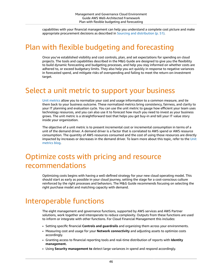capabilities with your financial management can help you understand a complete cost picture and make appropriate procurement decisions as described in Sourcing and [distribution \(p. 51\)](#page-55-0).

# <span id="page-50-0"></span>Plan with flexible budgeting and forecasting

Once you've established visibility and cost controls, plan, and set expectations for spending on cloud projects. The tools and capabilities described in the M&G Guide are designed to give you the flexibility to build dynamic forecasting and budgeting processes, and help you stay informed on whether costs are adhered to, or exceed budgetary limits. They also help you act quickly in response to negative variances in forecasted spend, and mitigate risks of overspending and failing to meet the return-on-investment target.

### <span id="page-50-1"></span>Select a unit metric to support your business

[Unit metrics](http://aws.amazon.com/blogs/aws-cost-management/what-is-a-unit-metric/) allow you to normalize your cost and usage information to a common measure, and tie them back to your business outcome. These normalized metrics bring consistency, fairness, and clarity to your IT planning and evaluation cycle. You can use the unit metric to gauge how efficient your team uses technology resources, and you can also use it to forecast how much you need to invest as your business grows. The unit metric is a straightforward tool that helps you get buy-in and tell your IT value story inside your organization.

The objective of a unit metric is to present incremental cost or incremental consumption in terms of a unit of the demand driver. A demand driver is a factor that is correlated to AWS spend or AWS resource consumption. The quantity of AWS resources consumed and the cost of using those resources are directly impacted by increases or decreases in the demand driver. To learn more about this topic, refer to the [Unit](http://aws.amazon.com/blogs/aws-cloud-financial-management/unit-metric-the-touchstone-of-your-it-planning-and-evaluation/) [metrics blog.](http://aws.amazon.com/blogs/aws-cloud-financial-management/unit-metric-the-touchstone-of-your-it-planning-and-evaluation/)

# <span id="page-50-2"></span>Optimize costs with pricing and resource recommendations

Optimizing costs begins with having a well-defined strategy for your new cloud operating model. This should start as early as possible in your cloud journey, setting the stage for a cost-conscious culture reinforced by the right processes and behaviors. The M&G Guide recommends focusing on selecting the right purchase model and matching capacity with demand.

# <span id="page-50-3"></span>Interoperable functions

The eight management and governance functions, supported by AWS services and AWS Partner solutions, work together and interoperate to reduce complexity. Outputs from these functions are used to inform or integrate with other functions. For Cloud Financial Management this includes:

- Setting specific financial **Controls and guardrails** and organizing them across your environments.
- Measuring cost and usage for your **Network connectivity** and adjusting assets to optimize costs accordingly.
- Granting access to financial reporting tools and real-time distribution of reports with **Identity management.**
- Using **Security management to** detect large variances in spend and respond accordingly.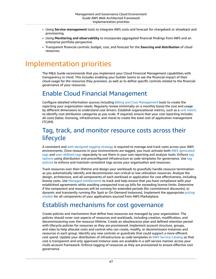- Using **Service management** tools to integrate AWS costs and forecast for chargeback or showback and provisioning.
- Using **Monitoring and observability** to incorporate aggregated financial findings from AWS and an enterprise portfolio perspective.
- Transparent financial controls: budget, cost, and forecast for the **Sourcing and distribution** of cloud resources.

# <span id="page-51-0"></span>Implementation priorities

The M&G Guide recommends that you implement your Cloud Financial Management capabilities with transparency in mind. This includes enabling your builder teams to see the financial impact of their cloud usage for the resources they provision, as well as to define specific controls related to the financial governance of your resources.

#### <span id="page-51-1"></span>Enable Cloud Financial Management

Configure detailed information sources including [Billing and Cost Management](https://docs.aws.amazon.com/awsaccountbilling/latest/aboutv2/billing-what-is.html) tools to create the reporting your organization needs. Regularly review (minimally on a monthly basis) the cost and usage by different dimensions to understand cost drivers. Establish organizational metrics, such as a [unit metric](http://aws.amazon.com/blogs/aws-cloud-financial-management/what-is-a-unit-metric/) to identify cost attribution categories as you scale. If required, ensure that your cost reporting includes all costs (labor, licensing, infrastructure, and more) to create the total cost of application management (TCAM).

#### <span id="page-51-2"></span>Tag, track, and monitor resource costs across their lifecycle

A consistent and [well-designed](https://d1.awsstatic.com/whitepapers/aws-tagging-best-practices.pdf) tagging strategy is required to manage and track costs across your AWS environments. Once resources in your environments are tagged, you must activate both [AWS-generated](https://docs.aws.amazon.com/awsaccountbilling/latest/aboutv2/activate-built-in-tags.html) [tags](https://docs.aws.amazon.com/awsaccountbilling/latest/aboutv2/activate-built-in-tags.html) and [user-defined tags](https://docs.aws.amazon.com/awsaccountbilling/latest/aboutv2/activating-tags.html) separately to use them in your cost reporting and analysis tools. Enforce [tag](https://docs.aws.amazon.com/servicecatalog/latest/adminguide/tagoptions.html) [options](https://docs.aws.amazon.com/servicecatalog/latest/adminguide/tagoptions.html) using distribution and preconfigured infrastructure as code templates for governance. Use [tag](https://docs.aws.amazon.com/organizations/latest/userguide/orgs_manage_policies_tag-policies.html) [policies](https://docs.aws.amazon.com/organizations/latest/userguide/orgs_manage_policies_tag-policies.html) to enforce and maintain consistent tags across your organization and resources.

Track resources over their lifetime and design your workloads to gracefully handle resource termination as you automatically identify and decommission non-critical or low utilization resources. Analyze the design, architecture, and all components of each workload or application for cost effectiveness, including license costs. Use [Managed entitlements](http://aws.amazon.com/blogs/awsmarketplace/how-aws-marketplace-features-help-you-govern-and-manage-software-purchases-for-your-organization/) to track and help ensure that you have compliance with your established agreements while avoiding unexpected true-up bills for exceeding license limits. Determine if the component and resources will be running for extended periods (for commitment discounts), or dynamic and transiently running (for Spot or On-Demand Instances). Implement the appropriate [pricing](https://docs.aws.amazon.com/marketplace/latest/userguide/pricing.html) [models](https://docs.aws.amazon.com/marketplace/latest/userguide/pricing.html) for all components of your applications sourced from AWS Marketplace.

#### <span id="page-51-3"></span>Establish mechanisms for cost governance

Create policies and mechanisms that define how resources are managed by your organization. The policies should cover cost aspects of resources and workloads, including creation, modification, and decommissioning over the resource lifetime. Create an obsolescence plan and defined retention period with lifecycle policies for resources as they are provisioned. Implement account structure, groups, and roles to help allocate costs and control who can create, modify, or decommission instances and resources in each group. Identify any new controls or guardrails that could support a more efficient cost spend. Update your distribution of infrastructure as code templates in AWS Service [Catalog](http://aws.amazon.com/servicecatalog/features/) so that cost is transparent and only approved instance sizes are available in a self-service manner across your multi-account framework. Enforce tagging of resources as they are provisioned to ensure effective cost governance.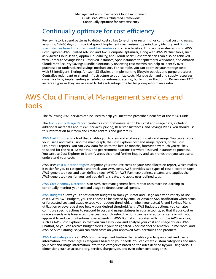#### <span id="page-52-0"></span>Continually optimize for cost efficiency

Review historic spend patterns to detect cost spikes (one-time or recurring) or continual cost increases, assuming 14–30 days of historical spend. Implement mechanisms to periodically identify and [right](https://docs.aws.amazon.com/whitepapers/latest/cost-optimization-right-sizing/cost-optimization-right-sizing.html)size instances based on current [workload](https://docs.aws.amazon.com/whitepapers/latest/cost-optimization-right-sizing/cost-optimization-right-sizing.html) metrics and characteristics. This can be evaluated using AWS Cost Explorer, AWS Trusted Advisor, and AWS Compute Optimizer, along with AWS Partner tools, such as VMware CloudHealth, Apptio Cloudability, and CloudCheckr. Cost efficiencies can also be achieved with Compute Savings Plans, Reserved Instances, Spot Instances for ephemeral workloads, and Amazon CloudFront Security Savings Bundle. Continually reviewing cost metrics can help to identify over purchased or underutilized savings mechanisms. For example, you can optimize your storage costs with S3 Intelligent-Tiering, Amazon S3 Glacier, or implementing lifecycle policies and purge processes. Centralize redundant or shared infrastructure to optimize costs. Manage demand and supply resources dynamically by implementing scheduled or automatic scaling, buffering, or throttling. Review new EC2 instance types as they are released to take advantage of a better price-performance ratio.

# <span id="page-52-1"></span>AWS Cloud Financial Management services and tools

The following AWS services can be used to help you meet the prescribed benefits of the M&G Guide:

The AWS Cost & Usage [Report](http://aws.amazon.com/aws-cost-management/aws-cost-and-usage-reporting/) contains a comprehensive set of AWS cost and usage data, including additional metadata about AWS services, pricing, Reserved Instances, and Savings Plans. You should use this information to inform and create controls and guardrails.

AWS Cost [Explorer](http://aws.amazon.com/aws-cost-management/aws-cost-explorer/?track=costma) is a tool that enables you to view and analyze your costs and usage. You can explore your usage and costs using the main graph, the Cost Explorer cost and usage reports, or the Cost Explorer RI reports. You can view data for up to the last 12 months, forecast how much you're likely to spend for the next 12 months, and get recommendations for what Reserved Instances to purchase. You can use Cost Explorer to identify areas that need further inquiry and see trends that you can use to understand your costs.

AWS uses cost [allocation](https://docs.aws.amazon.com/awsaccountbilling/latest/aboutv2/cost-alloc-tags.html) tags to organize your resource costs on your cost allocation report, which makes it easier for you to categorize and track your AWS costs. AWS provides two types of cost allocation tags: AWS-generated tags and user-defined tags. AWS (or AWS Partners) defines, creates, and applies the AWS-generated tags for you, and you define, create, and apply user-defined tags.

AWS Cost Anomaly [Detection](https://docs.aws.amazon.com/awsaccountbilling/latest/aboutv2/manage-ad.html) is an AWS cost management feature that uses machine learning to continually monitor your cost and usage to detect unusual spends.

AWS [Budgets](http://aws.amazon.com/aws-cost-management/aws-budgets/) allows you to set custom budgets to track your cost and usage on a wide variety of use cases. With AWS Budgets, you can choose to be alerted by email or Amazon SNS notification when actual or forecasted cost and usage exceed your budget threshold, or when your actual RI and Savings Plans utilization or coverage drops below your desired threshold. With AWS Budgets actions, you can also configure specific actions to respond to cost and usage statuses in your accounts, so that if your cost or usage exceeds or is forecasted to exceed your threshold, actions can be run automatically or with your approval to reduce unintentional over-spending. AWS Budgets integrates with multiple AWS services, such as AWS Cost Explorer, so that you can easily view and analyze your cost and usage drivers, AWS Chatbot, so you can receive budget alerts in your designated Slack channel or Amazon Chime room, and AWS Service Catalog, so you can track costs on your approved AWS portfolios and products.

AWS Cost [Categories](http://aws.amazon.com/aws-cost-management/aws-cost-categories/) is an AWS cost management feature that enables you to group cost and usage information into meaningful categories based on your needs. You can create custom categories and map your cost and usage information into these categories based on the rules defined by you using various dimensions such as account, tag, service, charge type, and even other cost categories.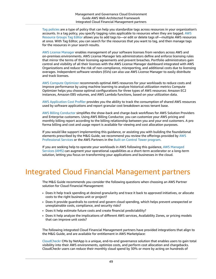Tag [policies](https://docs.aws.amazon.com/organizations/latest/userguide/orgs_manage_policies_tag-policies.html) are a type of policy that can help you standardize tags across resources in your organization's accounts. In a tag policy, you specify tagging rules applicable to resources when they are tagged. [AWS](https://docs.aws.amazon.com/ARG/latest/userguide/tag-editor.html) [Resource](https://docs.aws.amazon.com/ARG/latest/userguide/tag-editor.html) Groups Tag Editor allows you to add tags to—or edit or delete tags of—multiple AWS resources at once. With Tag Editor, you can search for the resources that you want to tag, and then manage tags for the resources in your search results.

AWS License [Manager](http://aws.amazon.com/license-manager/) enables management of your software licenses from vendors across AWS and on-premises environments. AWS License Manager lets administrators define and enforce licensing rules that mirror the terms of their licensing agreements and prevent breaches. Portfolio administrators gain control and visibility of all their licenses with the AWS License Manager dashboard integrated with AWS Organizations and reduce the risk of non-compliance, misreporting, and additional costs due to licensing overages. Independent software vendors (ISVs) can also use AWS License Manager to easily distribute and track licenses.

AWS Compute [Optimizer](http://aws.amazon.com/compute-optimizer/?nc2=type_a) recommends optimal AWS resources for your workloads to reduce costs and improve performance by using machine learning to analyze historical utilization metrics Compute Optimizer helps you choose optimal configurations for three types of AWS resources: Amazon EC2 instances, Amazon EBS volumes, and AWS Lambda functions, based on your utilization data.

AWS [Application](http://aws.amazon.com/aws-cost-management/aws-application-cost-profiler/) Cost Profiler provides you the ability to track the consumption of shared AWS resources used by software applications and report granular cost breakdown across tenant base.

AWS Billing [Conductor](http://aws.amazon.com/aws-cost-management/aws-billing-conductor/) simplifies the show-back and charge-back workflows for AWS Solution Providers and Enterprise customers. Using AWS Billing Conductor, you can customize your AWS pricing and monthly billing report according to the billing relationship between you and your end customers. A pro forma billing and cost and usage report is available for viewing and cost allocation purposes.

If you would like support implementing this guidance, or assisting you with building the foundational elements prescribed by the M&G Guide, we recommend you review the offerings provided by [AWS](http://aws.amazon.com/professional-services/) [Professional](http://aws.amazon.com/professional-services/) Services or the AWS Partners in the Built on Control Tower [program.](http://aws.amazon.com/controltower/partners/)

If you are seeking help to operate your workloads in AWS following this guidance, AWS [Managed](http://aws.amazon.com/managed-services/) [Services](http://aws.amazon.com/managed-services/) (AMS) can augment your operational capabilities as a short-term accelerator or a long-term solution, letting you focus on transforming your applications and businesses in the cloud.

# <span id="page-53-0"></span>Integrated Cloud Financial Management partners

The M&G Guide recommends you consider the following questions when choosing an AWS Partner solution for Cloud Financial Management:

- Does it help track spending at desired granularity and trace it back to approved initiatives, or allocate costs to the right business unit or project?
- Does it provide guardrails to control and govern cloud spending, which helps prevent unexpected or unexplainable costs, compliance, and security risks?
- Does it help estimate future costs and create financial predictability?
- Does it help analyze the implications of different AWS services, Availability Zones, or pricing models that can improve unit costs?

The following integrated Cloud Financial Management partners have provided integrations that align to the M&G Guide, and are available for entitlement in AWS Marketplace:

[CloudCheckr](http://aws.amazon.com/marketplace/solutions/control-tower/cost-management-and-governance/#CloudCheckr) CMx by NetApp is a unique, end-to-end governance solution that enables users to gain total visibility into their AWS environments, optimize costs, and perform cost allocation and chargebacks. CloudCheckr users can reduce their monthly cloud spend by 30% or more by acting on hundreds of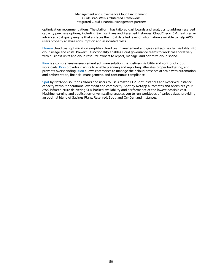optimization recommendations. The platform has tailored dashboards and analytics to address reserved capacity purchase options, including Savings Plans and Reserved Instances. CloudCheckr CMx features an advanced cost query engine that surfaces the most detailed level of information available to help AWS users properly analyze consumption and associated costs.

[Flexera](http://aws.amazon.com/marketplace/solutions/control-tower/cost-management-and-governance/#Flexera) cloud cost optimization simplifies cloud cost management and gives enterprises full visibility into cloud usage and costs. Powerful functionality enables cloud governance teams to work collaboratively with business units and cloud resource owners to report, manage, and optimize cloud spend.

[Kion](http://aws.amazon.com/marketplace/solutions/control-tower/cost-management-and-governance/#cloudtamer.io) is a comprehensive enablement software solution that delivers visibility and control of cloud workloads. [Kion](http://aws.amazon.com/marketplace/solutions/control-tower/cost-management-and-governance/#cloudtamer.io) provides insights to enable planning and reporting, allocates proper budgeting, and prevents overspending. [Kion](http://aws.amazon.com/marketplace/solutions/control-tower/cost-management-and-governance/#cloudtamer.io) allows enterprises to manage their cloud presence at scale with automation and orchestration, financial management, and continuous compliance.

[Spot](http://aws.amazon.com/marketplace/solutions/control-tower/cost-management-and-governance/#Spot) by NetApp's solutions allows end users to use Amazon EC2 Spot Instances and Reserved Instance capacity without operational overhead and complexity. Spot by NetApp automates and optimizes your AWS infrastructure delivering SLA-backed availability and performance at the lowest possible cost. Machine learning and application-driven scaling enables you to run workloads of various sizes, providing an optimal blend of Savings Plans, Reserved, Spot, and On-Demand Instances.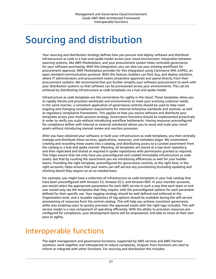# <span id="page-55-0"></span>Sourcing and distribution

Your sourcing and distribution strategy defines how you procure and deploy software and distribute infrastructure as code in a hub-and-spoke model across your cloud environment. Integration between sourcing systems, like AWS Marketplace, and your procurement system helps centralize governance for your software purchasing. With this integration, you can also use your existing workflows for procurement approval. AWS Marketplace provides for this integration using Commerce XML (cXML), an open standard communication protocol. With this feature, builders can find, buy, and deploy solutions, where IT administrators and procurement teams streamline approvals and spend directly from their procurement systems. We recommend that you further simplify your software procurement to work with your distribution systems so that software can be provisioned across your environments. This can be achieved by distributing infrastructure as code templates via a hub and spoke model.

Infrastructure as code templates are the cornerstone for agility in the cloud. These templates allow you to rapidly iterate and provision workloads and environments to meet your evolving customer needs. In the same manner, a consistent application of governance controls should be used to help meet ongoing and changing compliance requirements for internal enterprise standards and controls, as well as regulatory compliance frameworks. This applies to how you source software and distribute your templates across your multi-account strategy. Governance functions should be implemented proactively in order to verify you scale without introducing workflow bottlenecks. Having resources preconfigured for compliance (either with internal or external standards) allows you to reuse and scale your cloud assets without introducing manual review and reaction processes.

After you have obtained your software, or built your infrastructure as code templates, you then centrally manage and distribute these services, applications, resources, and metadata (tags). We recommend creating and recording these assets into a catalog, and distributing access to a curated assortment from the catalog in a hub and spoke manner. Meaning, all templates are stored at a top-level repository, and then replicated and shared as required in spoke repositories with permissions granted as required. This helps ensure that not only have you preconfigured and created immutable infrastructure as code assets, but that by curating the assortment you are introducing efficiencies as well for your builder teams. Providing the right template, preconfigured for governance controls, at the right time, in the right accounts, helps ensure that your teams can self-service any provisioning (including updating and shutting down) they require on an as-needed basis.

For example, you might have a collection of infrastructure as code templates in your hub catalog that have been preconfigured with Amazon S3, Amazon EC2, and Amazon RDS. In your member accounts, you would select the appropriate parameters for each AWS service in such a way that each team or end user would only see the templates that they require, with the preconfigured options for each parameter defined for their specific use. Your tagging strategy should be well defined and enforced at the Organization level, and a reusable repository of tag options should be available during the self-service provisioning of resources from the central catalog. This will help you achieve consistent governance, while also enabling users to quickly provision the approved assets with the right tags included. This selfservice model is a core component of operating efficiently. With the ability to provision resources preconfigured for compliance, your development teams will be empowered, and able to move at their own pace or agility.

# <span id="page-55-1"></span>Interoperable functions

The eight management and governance functions, supported by AWS services and AWS Partner solutions, work together and interoperate to reduce complexity. Outputs from functions are used to inform or integrate with other functions. For sourcing and distribution this includes: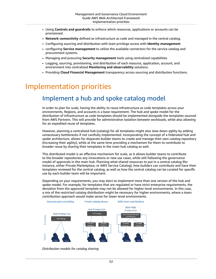- Using **Controls and guardrails** to enforce which resources, applications or accounts can be provisioned.
- **Network connectivity** defined as infrastructure as code and managed in the central catalog.
- Configuring sourcing and distribution with least privilege access with **Identity management**
- configuring **Service management** to utilize the available connectors for the service catalog and procurement systems.
- Managing and procuring **Security management** tools using centralized capabilities
- Logging, sourcing, provisioning, and distribution of each resource, application, account, and environment into centralized **Monitoring and observability** solutions.
- Providing **Cloud Financial Management** transparency across sourcing and distribution functions.

### <span id="page-56-1"></span><span id="page-56-0"></span>Implementation priorities

#### Implement a hub and spoke catalog model

In order to plan for scale, having the ability to reuse infrastructure as code templates across your environments, Regions, and accounts is a base requirement. The hub and spoke model for the distribution of infrastructure as code templates should be implemented alongside the templates sourced from AWS Partners. This will provide for administrative isolation between workloads, while also allowing for an expedited reuse of templates.

However, planning a centralized hub (catalog) for all templates might also slow down agility by adding unnecessary bottlenecks if not carefully implemented. Incorporating the concept of a federated hub and spoke architecture, allows for disparate builder teams to create and manage their own catalog repository (increasing their agility), while at the same time providing a mechanism for them to contribute to broader reuse by sharing their templates in the main hub catalog as well.

This distributed model is an effective mechanism for scale, as it allows builder teams to contribute to the broader repositories any innovations or new use cases, while still following the governance model of approvals in the main hub. Planning what shared resources to put in a central catalog (for instance, either Private Marketplace, or AWS Service Catalog), how builders can contribute and have their templates reviewed for the central catalog, as well as how the central catalog can be curated for specific use by each builder team will be important.

Depending on your requirements, you may elect to implement more than one version of the hub and spoke model. For example, for templates that are regulated or have strict enterprise requirements, the deviation from the approved template may not be allowed for higher-level environments. In this case, a mix of the restricted catalog distribution might be necessary for higher environments, where a team contribution approach would make sense for lower-level environments.



*Distribution models for catalog sharing*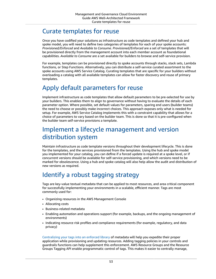#### <span id="page-57-0"></span>Curate templates for reuse

Once you have codified your solutions as infrastructure as code templates and defined your hub and spoke model, you will need to define two categories of templates for each of your spoke accounts: *Provisioned/Enforced* and *Available to Consume*. *Provisioned/Enforced* are a set of templates that will be provisioned directly from the management account into each member account as foundational capabilities. *Available to Consume* are a set available for builders to browse and self-service provision.

For example, templates can be provisioned directly to spoke accounts through stacks, stack sets, Lambda functions, or Step Functions. Alternatively, you can distribute a self-service curated assortment to the spoke accounts using AWS Service Catalog. Curating templates that are specific for your builders without overloading a catalog with all available templates can allow for faster discovery and reuse of primary templates.

### <span id="page-57-1"></span>Apply default parameters for reuse

Implement infrastructure as code templates that allow default parameters to be pre-selected for use by your builders. This enables them to align to governance without having to evaluate the details of each parameter option. Where possible, set default values for parameters, sparing end users (builder teams) the need to choose or possibly make incorrect choices. This approach exposes only what is needed for setup. For example, AWS Service Catalog implements this with a constraint capability that allows for a choice of parameters to vary based on the builder team. This is done so that it is pre-configured when the builder team self-service provisions a template.

#### <span id="page-57-2"></span>Implement a lifecycle management and version distribution system

Maintain infrastructure as code template versions throughout their development lifecycle. This is done for the templates, and the services provisioned from the templates. Using the hub and spoke model you implemented for your catalog, you can define if a forced update is required at a spoke level, or if concurrent versions should be available for self-service provisioning, and which versions need to be marked for obsolescence. Using a hub and spoke catalog will also help allow the audit and distribution of new versions as required.

# <span id="page-57-3"></span>Identify a robust tagging strategy

Tags are key-value textual metadata that can be applied to most resources, and area critical component for successfully implementing your environments in a scalable, efficient manner. Tags are most commonly used for:

- Organizing resources in the AWS Management Console
- Allocating costs
- Business-related metadata
- Enabling automation and operations support (for example, backups, and the ongoing management of environments)
- Indicating resource risk profiles and compliance requirements (for example, regulatory, and data privacy)

[Centralizing](https://docs.aws.amazon.com/organizations/latest/userguide/orgs_manage_policies_tag-policies.html) your tags into an enforced library of metadata will help you expedite their proper application while provisioning and updating resources. Adding tagging policies in your controls and guardrails functions can help supplement this enforcement. AWS Resource Groups and the Resource Groups Tagging API enable programmatic control of tags. This makes it easier to centrally manage,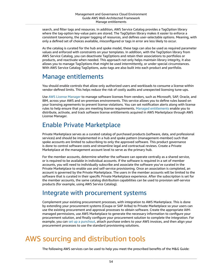search, and filter tags and resources. In addition, AWS Service Catalog provides a TagOption library where the tag-option key-value pairs are stored. The TagOption library makes it easier to enforce a consistent taxonomy, the proper tagging of resources, and defines user-selectable options. Meaning, with only a defined set of choices available, misconfigured or tags in error are less likely to occur.

As the catalog is curated for the hub and spoke model, these tags can also be used as required parameter values and enforced with constraints on your templates. In addition, with the TagOption library from AWS Service Catalog, you can deactivate TagOptions and retain their associations to portfolios or products, and reactivate when needed. This approach not only helps maintain library integrity, it also allows you to manage TagOptions that might be used intermittently, or under special circumstances. With AWS Service Catalog TagOptions, auto-tags are also built into each product and portfolio.

#### <span id="page-58-0"></span>Manage entitlements

You should enable controls that allow only authorized users and workloads to consume a license within vendor-defined limits. This helps reduce the risk of costly audits and unexpected licensing tune-ups.

Use AWS License [Manager](http://aws.amazon.com/license-manager/) to manage software licenses from vendors, such as Microsoft, SAP, Oracle, and IBM, across your AWS and on-premises environments. This service allows you to define rules based on your licensing agreements to prevent license violations. You can set notification alerts along with license rules to help ensure that you are meeting license requirements. [Managed entitlements](http://aws.amazon.com/marketplace/features/managed-entitlements/) enable you to distribute, activate, and track software license entitlements acquired in AWS Marketplace through AWS License Manager.

#### <span id="page-58-1"></span>Enable Private Marketplace

Private Marketplace serves as a curated catalog of purchased products (software, data, and professional services) and should be implemented in a hub and spoke pattern (management-member) such that spoke accounts are limited to subscribing to only the approved software. This product governance is done to control software costs and streamline legal and contractual reviews. Create a Private Marketplace at the management account level to serve as the primary hub.

For the member accounts, determine whether the software can operate centrally as a shared service, or is required to be available in individual accounts. If the software is required in a set of member accounts, you will need to individually subscribe and associate the software you've curated in the Private Marketplace to enable use and self-service provisioning. Once an association is completed, an account is governed by the Private Marketplace. The users in the member accounts will be limited to the software that is curated in their specific Private Marketplace experience. After the subscription is set for the member accounts, the same catalog distribution capabilities can be used to provision self-service products (for example, using AWS Service Catalog).

#### <span id="page-58-2"></span>Integrate with procurement systems

Complement your existing procurement processes, with integration to AWS Marketplace. This is done by extending your procurement systems (Coupa or SAP Ariba) to Private Marketplace so your users can use the existing procurement and approval processes to obtain software. Create the appropriate IAMmanaged permissions, use AWS Marketplace to generate the necessary information to configure your procurement solution, and finally configure your procurement solution to complete the integration. For example, you can [set up a punchout,](https://docs.aws.amazon.com/marketplace/latest/buyerguide/procurement-system-integration-setup.html) attach purchase orders to your AWS invoices, and then align your procurement processes to use the standard provisioning solutions.

# <span id="page-58-3"></span>AWS sourcing and distribution tools

The following AWS services can be used to help you meet the prescribed benefits of the M&G Guide: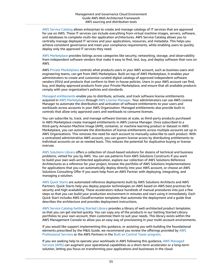AWS Service [Catalog](http://aws.amazon.com/servicecatalog/) allows enterprises to create and manage catalogs of IT services that are approved for use on AWS. These IT services can include everything from virtual machine images, servers, software, and databases to complete multi-tier application architectures. AWS Service Catalog allows you to centrally manage deployed IT services and your applications, resources, and metadata. This helps you achieve consistent governance and meet your compliance requirements, while enabling users to quickly deploy only the approved IT services they need.

AWS [Marketplace](http://aws.amazon.com/marketplace/) provides listings across categories like security, networking, storage, and observability from independent software vendors that make it easy to find, test, buy, and deploy software that runs on AWS.

AWS Private [Marketplace](http://aws.amazon.com/marketplace/features/privatemarketplace) controls what products users in your AWS account, such as business users and engineering teams, can get from AWS Marketplace. Built on top of AWS Marketplace, it enables your administrators to create and customize curated digital catalogs of approved independent software vendors (ISVs) and products that conform to their in-house policies. Users in your AWS account can find, buy, and deploy approved products from your Private Marketplace, and ensure that all available products comply with your organization's policies and standards.

[Managed entitlements](http://aws.amazon.com/marketplace/features/managed-entitlements/) enable you to distribute, activate, and track software license entitlements acquired in AWS [Marketplace](http://aws.amazon.com/marketplace/) through AWS License [Manager](http://aws.amazon.com/license-manager/). Your administrators can use AWS License Manager to automate the distribution and activation of software entitlements to your users and workloads across accounts in your AWS Organization. Managed entitlements also provide built-in controls that allow only approved users and workloads to consume licenses.

You can subscribe to, track, and manage software licenses at scale, as third-party products purchased in AWS Marketplace create managed entitlements in AWS License Manager. Once subscribed to a third-party Amazon Machine Image (AMI), container, or machine learning product or dataset in AWS Marketplace, you can automate the distribution of license entitlements across multiple accounts set up in AWS Organizations. This removes the need for each account to manually subscribe to each product. With a centralized administrative AWS account, you can govern license access by distributing entitlements to individual accounts on an as needed basis. This reduces the potential for duplicative buying or license overuse.

AWS [Solutions](http://aws.amazon.com/solutions/) Library offers a collection of cloud-based solutions for dozens of technical and business problems, vetted for you by AWS. You can use patterns from AWS Solutions Constructs if you want to build your own well-architected application, explore our collection of AWS Solutions Reference Architectures as a reference for your project, browse the portfolio of AWS Solutions Implementations for applications that you can automatically deploy directly into your AWS account, or choose an AWS Solutions Consulting Offer if you want help from an AWS Partner with deploying, integrating, and managing a solution.

AWS Quick [Starts](http://aws.amazon.com/quickstart/) are automated reference deployments built by AWS Solutions Architects and AWS Partners. Quick Starts help you deploy popular technologies on AWS based on AWS best practices for security and high availability. These accelerators reduce hundreds of manual procedures into just a few steps so that you can build your production environment in minutes and start using it immediately. Each Quick Start includes AWS CloudFormation templates that automate the deployment and a guide that describes the architecture and provides deployment instructions.

AWS Service [Catalog](https://docs.aws.amazon.com/servicecatalog/latest/adminguide/getting-started-library.html) Getting Started Library provides a library of well-architected product templates so that you can get started quickly. You can copy any of the products in our Getting Started Library portfolios to your own account, then customize them to suit your needs. This library exists within the AWS Management Console to allow you an easy way of provisioning in your multi-account environments.

If you would like support implementing this guidance, or assisting you with building the foundational elements prescribed by the M&G Guide, we recommend you review the offerings provided by [AWS](http://aws.amazon.com/professional-services/) [Professional](http://aws.amazon.com/professional-services/) Services or the AWS Partners in the Built on Control Tower [program.](http://aws.amazon.com/controltower/partners/)

If you are seeking help to operate your workloads in AWS following this guidance, AWS [Managed](http://aws.amazon.com/managed-services/) [Services](http://aws.amazon.com/managed-services/) (AMS) can augment your operational capabilities as a short-term accelerator or a long-term solution, letting you focus on transforming your applications and businesses in the cloud.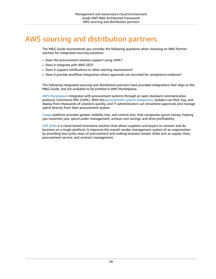# <span id="page-60-0"></span>AWS sourcing and distribution partners

The M&G Guide recommends you consider the following questions when choosing an AWS Partner solution for integrated sourcing solutions:

- Does the procurement solution support using cXML?
- Does it integrate with AWS SSO?
- Does it support notifications or other alerting mechanisms?
- Does it provide workflow integration where approvals are recorded for compliance evidence?

The following integrated sourcing and distribution partners have provided integrations that align to the M&G Guide, and are available to be entitled in AWS Marketplace.

AWS [Marketplace](http://aws.amazon.com/marketplace/) integrates with procurement systems through an open standard communication protocol, Commerce XML (cXML). With this [procurement](http://aws.amazon.com/marketplace/features/procurementsystem) system integration, builders can find, buy, and deploy from thousands of solutions quickly, and IT administrators can streamline approvals and manage spend directly from their procurement system.

[Coupa](https://docs.aws.amazon.com/marketplace/latest/buyerguide/procurement-system-integration-setup.html) platform provides greater visibility into, and control over, how companies spend money, helping you maximize your spend under management, achieve cost savings, and drive profitability.

[SAP Ariba](https://docs.aws.amazon.com/marketplace/latest/buyerguide/procurement-system-integration.html) is a cloud-based innovative solution that allows suppliers and buyers to connect and do business on a single platform. It improves the overall vendor management system of an organization by providing less-costly ways of procurement and making business simple. Ariba acts as supply chain, procurement service, and contract management.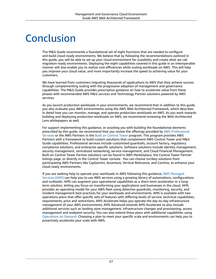# <span id="page-61-0"></span>Conclusion

The M&G Guide recommends a foundational set of eight functions that are needed to configure and build cloud-ready environments. We believe that by following the recommendations outlined in this guide, you will be able to set up your cloud environment for scalability and create what we call migration-ready environments. Deploying the eight capabilities covered in this guide in an interoperable manner will also enable you to realize cost-efficiencies while scaling workloads on AWS. This will help you improve your cloud value, and more importantly increase the speed to achieving value for your customers.

We have learned from customers migrating thousands of applications to AWS that they achieve success through complementing scaling with the progressive adoption of management and governance capabilities. The M&G Guide provides prescriptive guidance on how to accelerate value from these phases with recommended AWS M&G services and Technology Partner solutions powered by AWS services.

As you launch production workloads in your environments, we recommend that in addition to this guide, you also evaluate your AWS environments using the AWS Well-Architected Framework, which describes in detail how you can monitor, manage, and operate production workloads on AWS. As you work towards building and deploying production workloads on AWS, we recommend reviewing the Well-Architected Lens whitepapers as well.

For support implementing this guidance, or assisting you with building the foundational elements prescribed by this guide, we recommend that you review the offerings provided by AWS [Professional](http://aws.amazon.com/professional-services/) [Services](http://aws.amazon.com/professional-services/) or the AWS Partners in the Built on [Control](http://aws.amazon.com/controltower/partners/#Consulting_Partners) Tower program. This program provides AWS Partners with a framework to build custom solutions that complement AWS Control Tower and M&G Guide capabilities. Professional services include customized guardrails, account factory, regulatory compliance solutions, and enterprise-specific solutions. Software solutions include identity management, security management, centralized networking, service management, and Cloud Financial Management. Built on Control Tower Partner solutions can be found in AWS Marketplace, the Control Tower Partner listings page, or directly in the Control Tower console. You can choose turnkey solutions from participating AWS Partners like CapGemini, Accenture, Vertical Relevance, and Contino, to enhance your cloud ready environments.

If you are seeking help to operate your workloads in AWS following this guidance, AWS [Managed](http://aws.amazon.com/managed-services/) [Services](http://aws.amazon.com/managed-services/) (AMS) can help you to use AWS services using a growing library of automations, configurations and runbooks. AMS can augment your operational capabilities as a short-term accelerator or a longterm solution, letting you focus on transforming your applications and businesses in the cloud. AMS provides an operating model for your AWS fleet using detective guardrails, monitoring, security, and incident management best practices for your workloads and environments. AMS is available with two operations plans that offer specific sets of features with differing levels of service, technical capabilities, requirements, price and restrictions. AMS Accelerate helps you operate the day-to-day infrastructure management of your AWS environments; AMS Advanced extends AMS Accelerate to also include additional services such as landing zone management, infrastructure changes and provisioning, access management and endpoint security. You can also extend these plans with additional capabilities using [Operations on Demand](http://aws.amazon.com/managed-services/features/operations-on-demand/). Choosing a plan to meet your specific scale and environments can help you to proactively accelerate your scale with AWS.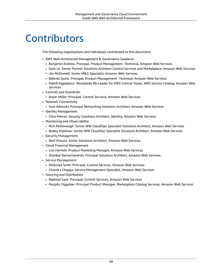# <span id="page-62-0"></span>**Contributors**

The following organizations and individuals contributed to this document:

- AWS Well-Architected Management & Governance Guidance
	- Benjamin Andrew: Principal, Product Management -Technical, Amazon Web Services
	- Nam Le: Senior Partner Solutions Architect Control Services and Marketplace, Amazon Web Services
	- Jim McDonald: Senior M&G Specialist, Amazon Web Services
	- Belinda Quick, Principal, Product Management -Technical, Amazon Web Services
	- Mahdi Sajjadpour: Worldwide BD Leader for AWS Control Tower, AWS Service Catalog, Amazon Web Services
- Controls and Guardrails
	- Bryan Miller: Principal, Control Services, Amazon Web Services
- Network Connectivity
	- Tom Adamski: Principal Networking Solutions Architect, Amazon Web Services
- Identity Management
	- Chris Mercer: Security Solutions Architect, Identity, Amazon Web Services
- Monitoring and Observability
	- Rich McDonough: Senior WW CloudOps Specialist Solutions Architect, Amazon Web Services
	- Bobby Hallahan: Senior WW CloudOps Specialist Solutions Architect, Amazon Web Services
- Security Management
	- Reef Dsouza: Senior Solutions Architect, Amazon Web Services
- Cloud Financial Management
	- Lisa Harnett: Product Marketing Manager, Amazon Web Services
	- Shankar Ramachandran: Principal Solutions Architect, Amazon Web Services
- Service Management
	- MaSonya Scott: Principal, Control Services, Amazon Web Services
	- Chandra Chappa: Service Management Specialist, Amazon Web Services
- Sourcing and Distribution
	- Raphael Sack: Principal, Control Services, Amazon Web Services
	- Murphy Tiggelaar: Principal Product Manager, Marketplace Catalog Services, Amazon Web Services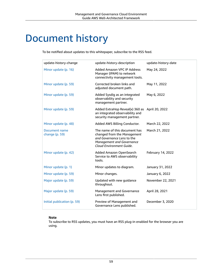# <span id="page-63-0"></span>Document history

To be notified about updates to this whitepaper, subscribe to the RSS feed.

| update-history-change           | update-history-description                                                                                                                          | update-history-date |
|---------------------------------|-----------------------------------------------------------------------------------------------------------------------------------------------------|---------------------|
| Minor update (p. 16)            | Added Amazon VPC IP Address<br>Manager (IPAM) to network<br>connectivity management tools.                                                          | May 24, 2022        |
| Minor update (p. 59)            | Corrected broken links and<br>adjusted document path.                                                                                               | May 11, 2022        |
| Minor update (p. 59)            | Added Sysdig as an integrated<br>observability and security<br>management partner.                                                                  | May 6, 2022         |
| Minor update (p. 59)            | Added ExtraHop Reveal(x) 360 as April 20, 2022<br>an integrated observability and<br>security management partner.                                   |                     |
| Minor update (p. 48)            | Added AWS Billing Conductor.                                                                                                                        | March 22, 2022      |
| Document name<br>change (p. 59) | The name of this document has<br>changed from the Management<br>and Governance Lens to the<br>Management and Governance<br>Cloud Environment Guide. | March 21, 2022      |
| Minor update (p. 42)            | Added Amazon OpenSearch<br>Service to AWS observability<br>tools.                                                                                   | February 14, 2022   |
| Minor update (p. 1)             | Minor updates to diagram.                                                                                                                           | January 31, 2022    |
| Minor update (p. 59)            | Minor changes.                                                                                                                                      | January 6, 2022     |
| Major update (p. 59)            | Updated with new guidance<br>throughout.                                                                                                            | November 22, 2021   |
| Major update (p. 59)            | Management and Governance<br>Lens first published.                                                                                                  | April 28, 2021      |
| Initial publication (p. 59)     | Preview of Management and<br>Governance Lens published.                                                                                             | December 3, 2020    |

#### **Note**

To subscribe to RSS updates, you must have an RSS plug-in enabled for the browser you are using.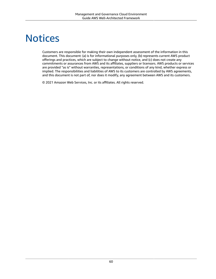# <span id="page-64-0"></span>**Notices**

Customers are responsible for making their own independent assessment of the information in this document. This document: (a) is for informational purposes only, (b) represents current AWS product offerings and practices, which are subject to change without notice, and (c) does not create any commitments or assurances from AWS and its affiliates, suppliers or licensors. AWS products or services are provided "as is" without warranties, representations, or conditions of any kind, whether express or implied. The responsibilities and liabilities of AWS to its customers are controlled by AWS agreements, and this document is not part of, nor does it modify, any agreement between AWS and its customers.

© 2021 Amazon Web Services, Inc. or its affiliates. All rights reserved.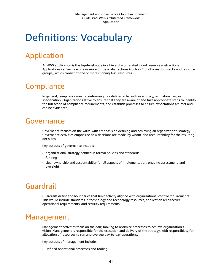# <span id="page-65-0"></span>Definitions: Vocabulary

# <span id="page-65-1"></span>Application

An AWS application is the top-level node in a hierarchy of related cloud resource abstractions. Applications can include one or more of these abstractions (such as CloudFormation stacks and resource groups), which consist of one or more running AWS resources.

# <span id="page-65-2"></span>**Compliance**

In general, compliance means conforming to a defined rule, such as a policy, regulation, law, or specification. Organizations strive to ensure that they are aware of and take appropriate steps to identify the full scope of compliance requirements, and establish processes to ensure expectations are met and can be evidenced.

#### <span id="page-65-3"></span>Governance

Governance focuses on the *what*, with emphasis on defining and achieving an organization's strategy. Governance activities emphasize how decisions are made, by whom, and accountability for the resulting decisions.

Key outputs of governance include:

- organizational strategy defined in formal policies and standards
- funding
- clear ownership and accountability for all aspects of implementation, ongoing assessment, and oversight

# <span id="page-65-4"></span>Guardrail

Guardrails define the boundaries that limit activity aligned with organizational control requirements. This would include standards in technology and technology resources, application architecture, operational requirements, and security requirements.

### <span id="page-65-5"></span>Management

Management activities focus on the *how*, looking to optimize processes to achieve organization's vision. Management is responsible for the execution and delivery of the strategy, with responsibility for allocation of resources to run and oversee day-to-day operations.

Key outputs of management include:

• Defined operational processes and tooling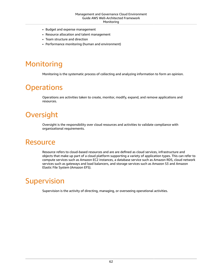- Budget and expense management
- Resource allocation and talent management
- Team structure and direction
- Performance monitoring (human and environment)

# <span id="page-66-0"></span>Monitoring

Monitoring is the systematic process of collecting and analyzing information to form an opinion.

# <span id="page-66-1"></span>**Operations**

Operations are activities taken to create, monitor, modify, expand, and remove applications and resources.

# <span id="page-66-2"></span>**Oversight**

Oversight is the responsibility over cloud resources and activities to validate compliance with organizational requirements.

#### <span id="page-66-3"></span>Resource

Resource refers to cloud-based resources and are are defined as cloud services, infrastructure and objects that make up part of a cloud platform supporting a variety of application types. This can refer to compute services such as Amazon EC2 instances, a database service such as Amazon RDS, cloud network services such as gateways and load balancers, and storage services such as Amazon S3 and Amazon Elastic File System (Amazon EFS).

# <span id="page-66-4"></span>**Supervision**

Supervision is the activity of directing, managing, or overseeing operational activities.